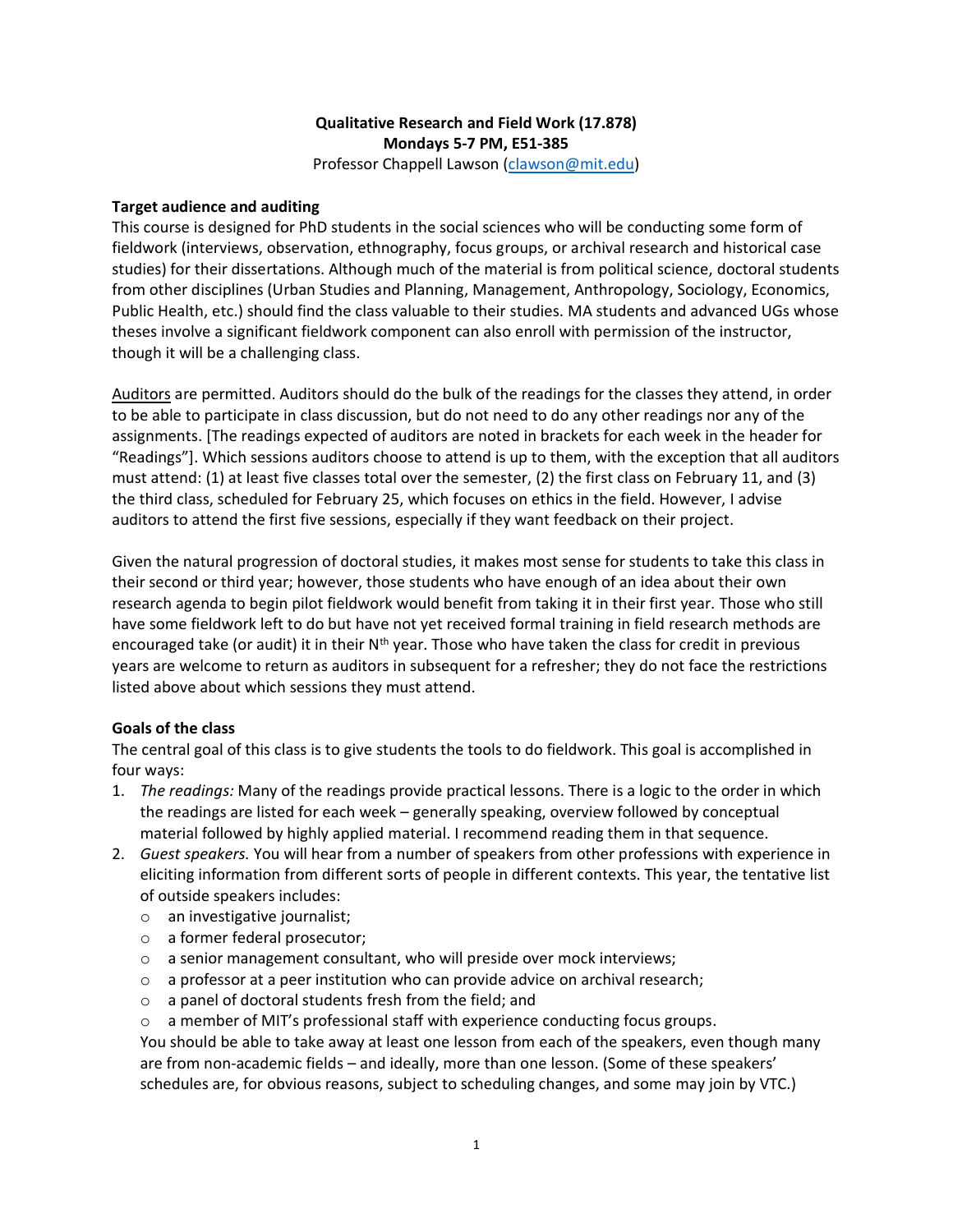## **Qualitative Research and Field Work (17.878) Mondays 5-7 PM, E51-385**

Professor Chappell Lawson [\(clawson@mit.edu\)](mailto:clawson@mit.edu)

#### **Target audience and auditing**

This course is designed for PhD students in the social sciences who will be conducting some form of fieldwork (interviews, observation, ethnography, focus groups, or archival research and historical case studies) for their dissertations. Although much of the material is from political science, doctoral students from other disciplines (Urban Studies and Planning, Management, Anthropology, Sociology, Economics, Public Health, etc.) should find the class valuable to their studies. MA students and advanced UGs whose theses involve a significant fieldwork component can also enroll with permission of the instructor, though it will be a challenging class.

Auditors are permitted. Auditors should do the bulk of the readings for the classes they attend, in order to be able to participate in class discussion, but do not need to do any other readings nor any of the assignments. [The readings expected of auditors are noted in brackets for each week in the header for "Readings"]. Which sessions auditors choose to attend is up to them, with the exception that all auditors must attend: (1) at least five classes total over the semester, (2) the first class on February 11, and (3) the third class, scheduled for February 25, which focuses on ethics in the field. However, I advise auditors to attend the first five sessions, especially if they want feedback on their project.

Given the natural progression of doctoral studies, it makes most sense for students to take this class in their second or third year; however, those students who have enough of an idea about their own research agenda to begin pilot fieldwork would benefit from taking it in their first year. Those who still have some fieldwork left to do but have not yet received formal training in field research methods are encouraged take (or audit) it in their  $N^{th}$  year. Those who have taken the class for credit in previous years are welcome to return as auditors in subsequent for a refresher; they do not face the restrictions listed above about which sessions they must attend.

### **Goals of the class**

The central goal of this class is to give students the tools to do fieldwork. This goal is accomplished in four ways:

- 1. *The readings:* Many of the readings provide practical lessons. There is a logic to the order in which the readings are listed for each week – generally speaking, overview followed by conceptual material followed by highly applied material. I recommend reading them in that sequence.
- 2. *Guest speakers.* You will hear from a number of speakers from other professions with experience in eliciting information from different sorts of people in different contexts. This year, the tentative list of outside speakers includes:
	- o an investigative journalist;
	- o a former federal prosecutor;
	- o a senior management consultant, who will preside over mock interviews;
	- $\circ$  a professor at a peer institution who can provide advice on archival research;
	- o a panel of doctoral students fresh from the field; and
	- $\circ$  a member of MIT's professional staff with experience conducting focus groups.

You should be able to take away at least one lesson from each of the speakers, even though many are from non-academic fields – and ideally, more than one lesson. (Some of these speakers' schedules are, for obvious reasons, subject to scheduling changes, and some may join by VTC.)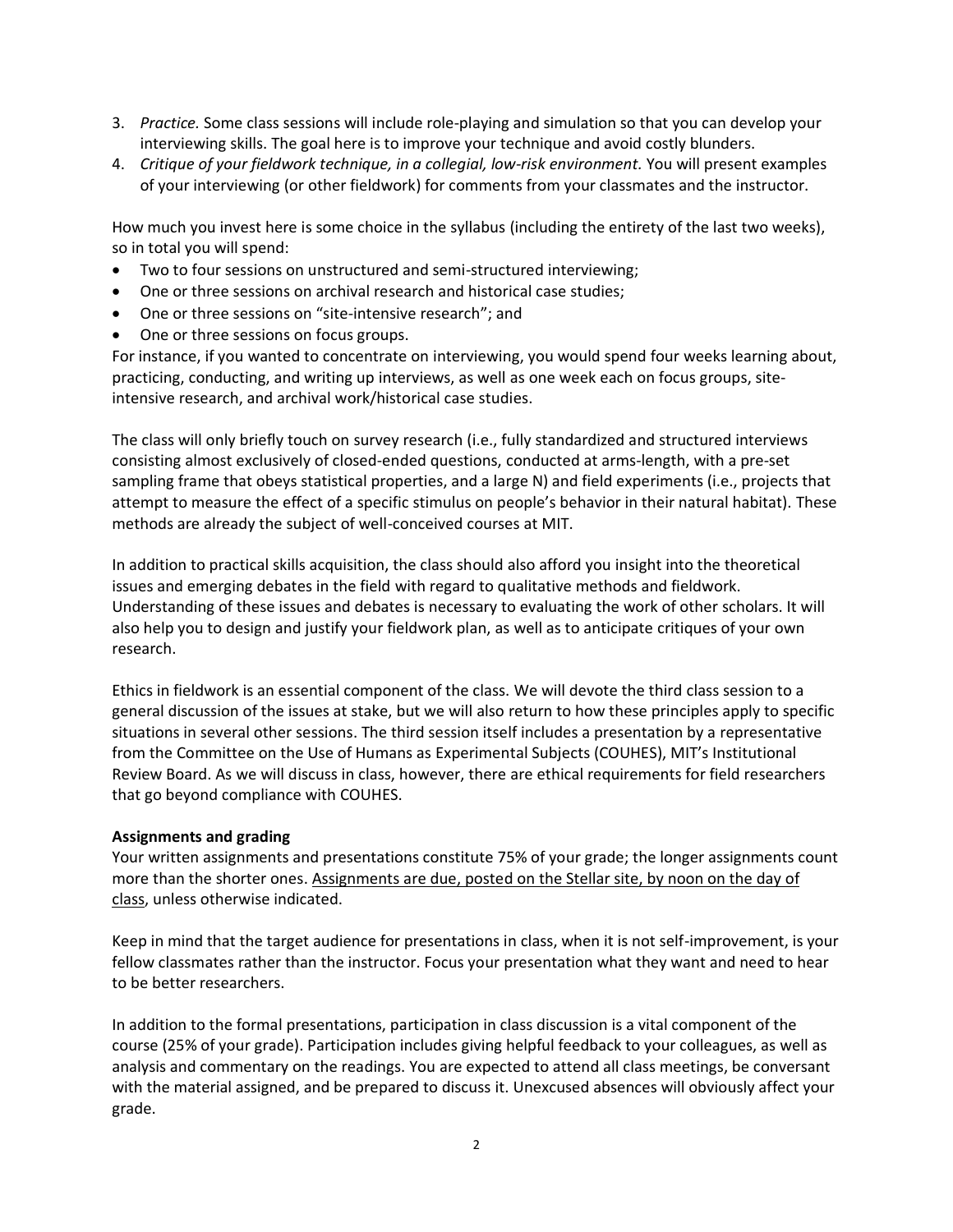- 3. *Practice.* Some class sessions will include role-playing and simulation so that you can develop your interviewing skills. The goal here is to improve your technique and avoid costly blunders.
- 4. *Critique of your fieldwork technique, in a collegial, low-risk environment.* You will present examples of your interviewing (or other fieldwork) for comments from your classmates and the instructor.

How much you invest here is some choice in the syllabus (including the entirety of the last two weeks), so in total you will spend:

- Two to four sessions on unstructured and semi-structured interviewing;
- One or three sessions on archival research and historical case studies;
- One or three sessions on "site-intensive research"; and
- One or three sessions on focus groups.

For instance, if you wanted to concentrate on interviewing, you would spend four weeks learning about, practicing, conducting, and writing up interviews, as well as one week each on focus groups, siteintensive research, and archival work/historical case studies.

The class will only briefly touch on survey research (i.e., fully standardized and structured interviews consisting almost exclusively of closed-ended questions, conducted at arms-length, with a pre-set sampling frame that obeys statistical properties, and a large N) and field experiments (i.e., projects that attempt to measure the effect of a specific stimulus on people's behavior in their natural habitat). These methods are already the subject of well-conceived courses at MIT.

In addition to practical skills acquisition, the class should also afford you insight into the theoretical issues and emerging debates in the field with regard to qualitative methods and fieldwork. Understanding of these issues and debates is necessary to evaluating the work of other scholars. It will also help you to design and justify your fieldwork plan, as well as to anticipate critiques of your own research.

Ethics in fieldwork is an essential component of the class. We will devote the third class session to a general discussion of the issues at stake, but we will also return to how these principles apply to specific situations in several other sessions. The third session itself includes a presentation by a representative from the Committee on the Use of Humans as Experimental Subjects (COUHES), MIT's Institutional Review Board. As we will discuss in class, however, there are ethical requirements for field researchers that go beyond compliance with COUHES.

### **Assignments and grading**

Your written assignments and presentations constitute 75% of your grade; the longer assignments count more than the shorter ones. Assignments are due, posted on the Stellar site, by noon on the day of class, unless otherwise indicated.

Keep in mind that the target audience for presentations in class, when it is not self-improvement, is your fellow classmates rather than the instructor. Focus your presentation what they want and need to hear to be better researchers.

In addition to the formal presentations, participation in class discussion is a vital component of the course (25% of your grade). Participation includes giving helpful feedback to your colleagues, as well as analysis and commentary on the readings. You are expected to attend all class meetings, be conversant with the material assigned, and be prepared to discuss it. Unexcused absences will obviously affect your grade.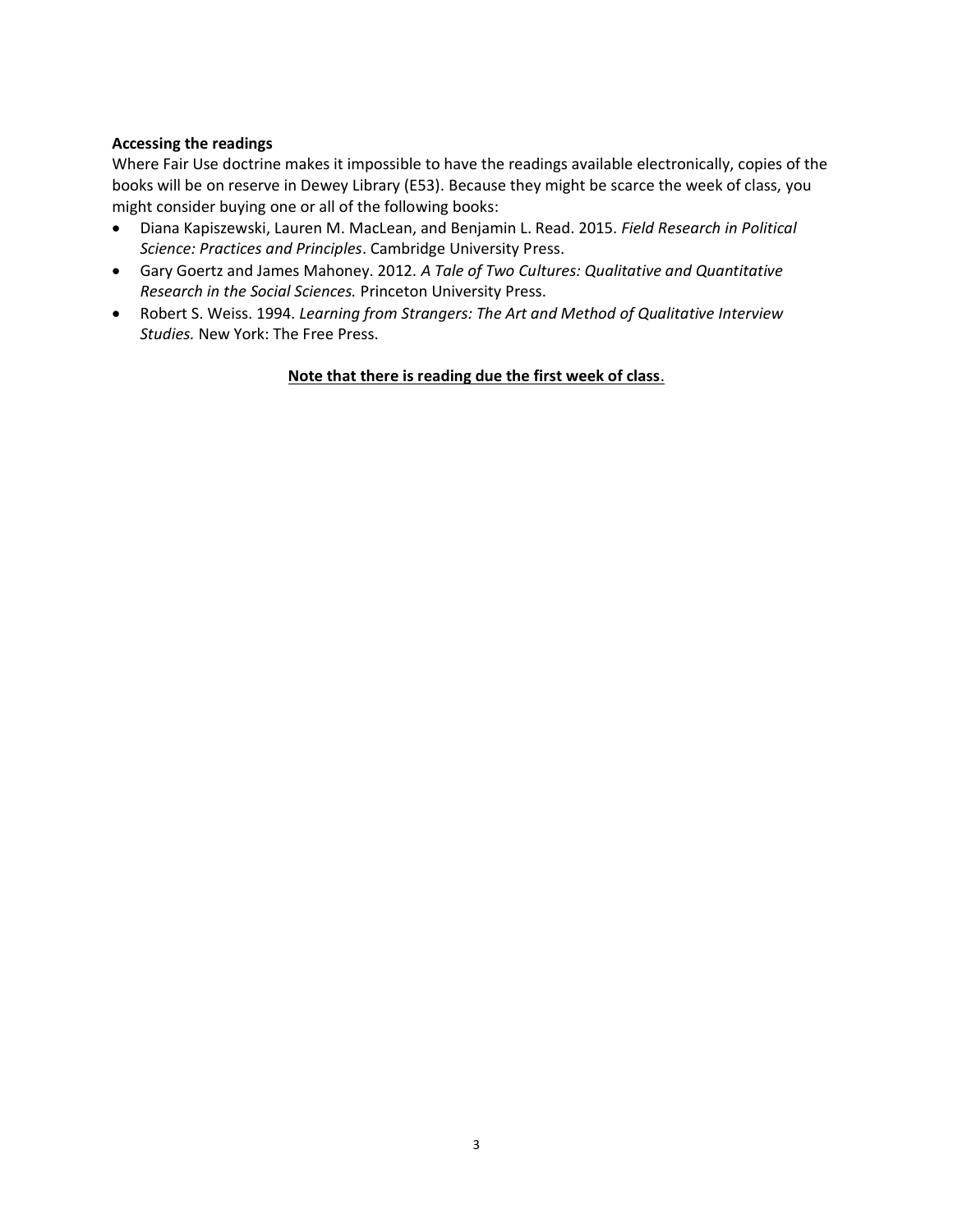### **Accessing the readings**

Where Fair Use doctrine makes it impossible to have the readings available electronically, copies of the books will be on reserve in Dewey Library (E53). Because they might be scarce the week of class, you might consider buying one or all of the following books:

- [Diana Kapiszewski,](https://www.google.com/search?tbo=p&tbm=bks&q=inauthor:%22Diana+Kapiszewski%22) [Lauren M. MacLean,](https://www.google.com/search?tbo=p&tbm=bks&q=inauthor:%22Lauren+M.+MacLean%22) an[d Benjamin L. Read.](https://www.google.com/search?tbo=p&tbm=bks&q=inauthor:%22Benjamin+L.+Read%22) 2015. *Field Research in Political Science: Practices and Principles*. Cambridge University Press.
- Gary Goertz and James Mahoney. 2012. *A Tale of Two Cultures: Qualitative and Quantitative Research in the Social Sciences.* Princeton University Press.
- Robert S. Weiss. 1994. *Learning from Strangers: The Art and Method of Qualitative Interview Studies.* New York: The Free Press.

## **Note that there is reading due the first week of class**.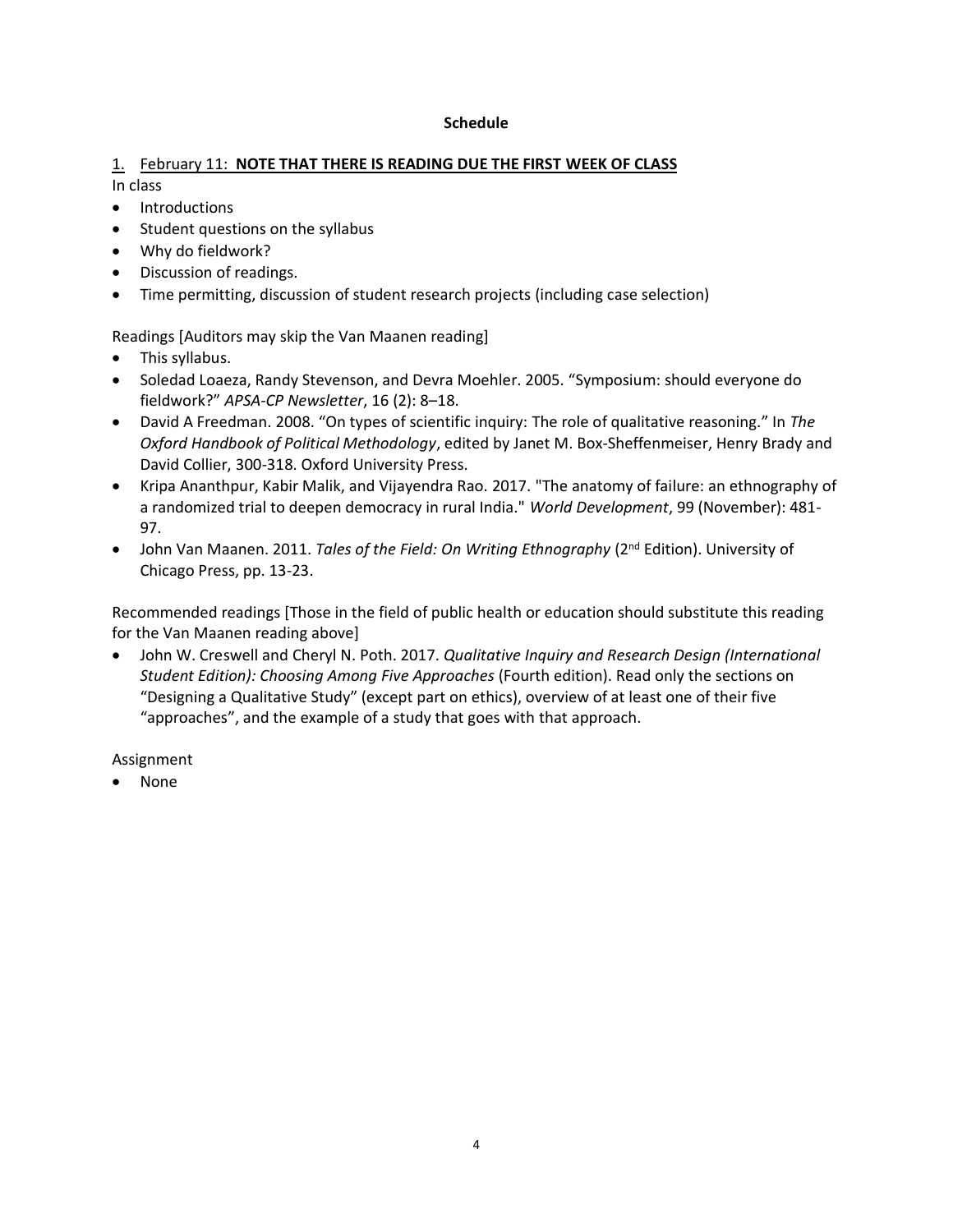#### **Schedule**

### 1. February 11: **NOTE THAT THERE IS READING DUE THE FIRST WEEK OF CLASS** In class

- Introductions
- Student questions on the syllabus
- Why do fieldwork?
- Discussion of readings.
- Time permitting, discussion of student research projects (including case selection)

Readings [Auditors may skip the Van Maanen reading]

- This syllabus.
- Soledad Loaeza, Randy Stevenson, and Devra Moehler. 2005. "Symposium: should everyone do fieldwork?" *APSA-CP Newsletter*, 16 (2): 8–18.
- David A Freedman. 2008. "On types of scientific inquiry: The role of qualitative reasoning." In *The Oxford Handbook of Political Methodology*, edited by Janet M. Box-Sheffenmeiser, Henry Brady and David Collier, 300-318. Oxford University Press.
- Kripa Ananthpur, Kabir Malik, and Vijayendra Rao. 2017. "The anatomy of failure: an ethnography of a randomized trial to deepen democracy in rural India." *World Development*, 99 (November): 481- 97.
- John Van Maanen. 2011. *Tales of the Field: On Writing Ethnography* (2<sup>nd</sup> Edition). University of Chicago Press, pp. 13-23.

Recommended readings [Those in the field of public health or education should substitute this reading for the Van Maanen reading above]

• John W. Creswell and Cheryl N. Poth. 2017. *Qualitative Inquiry and Research Design (International Student Edition): Choosing Among Five Approaches* (Fourth edition). Read only the sections on "Designing a Qualitative Study" (except part on ethics), overview of at least one of their five "approaches", and the example of a study that goes with that approach.

Assignment

• None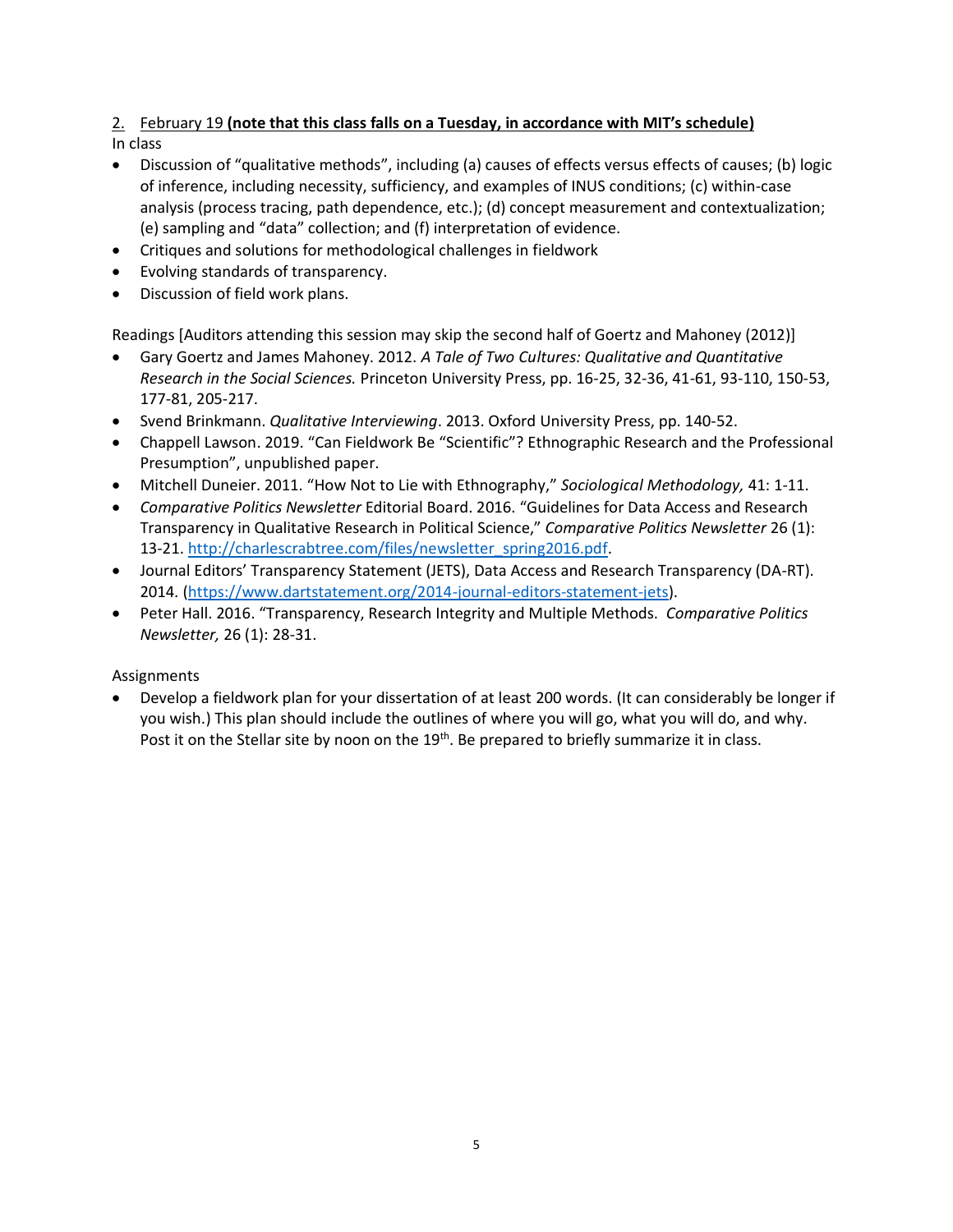# 2. February 19 **(note that this class falls on a Tuesday, in accordance with MIT's schedule)**

In class

- Discussion of "qualitative methods", including (a) causes of effects versus effects of causes; (b) logic of inference, including necessity, sufficiency, and examples of INUS conditions; (c) within-case analysis (process tracing, path dependence, etc.); (d) concept measurement and contextualization; (e) sampling and "data" collection; and (f) interpretation of evidence.
- Critiques and solutions for methodological challenges in fieldwork
- Evolving standards of transparency.
- Discussion of field work plans.

Readings [Auditors attending this session may skip the second half of Goertz and Mahoney (2012)]

- Gary Goertz and James Mahoney. 2012. *A Tale of Two Cultures: Qualitative and Quantitative Research in the Social Sciences.* Princeton University Press, pp. 16-25, 32-36, 41-61, 93-110, 150-53, 177-81, 205-217.
- Svend Brinkmann. *Qualitative Interviewing*. 2013. Oxford University Press, pp. 140-52.
- Chappell Lawson. 2019. "Can Fieldwork Be "Scientific"? Ethnographic Research and the Professional Presumption", unpublished paper.
- Mitchell Duneier. 2011. "How Not to Lie with Ethnography," *Sociological Methodology,* 41: 1-11.
- *Comparative Politics Newsletter* Editorial Board. 2016. "Guidelines for Data Access and Research Transparency in Qualitative Research in Political Science," *Comparative Politics Newsletter* 26 (1): 13-21. [http://charlescrabtree.com/files/newsletter\\_spring2016.pdf.](http://charlescrabtree.com/files/newsletter_spring2016.pdf)
- Journal Editors' Transparency Statement (JETS), Data Access and Research Transparency (DA-RT). 2014. [\(https://www.dartstatement.org/2014-journal-editors-statement-jets\)](https://www.dartstatement.org/2014-journal-editors-statement-jets).
- Peter Hall. 2016. "Transparency, Research Integrity and Multiple Methods. *Comparative Politics Newsletter,* 26 (1): 28-31.

## Assignments

• Develop a fieldwork plan for your dissertation of at least 200 words. (It can considerably be longer if you wish.) This plan should include the outlines of where you will go, what you will do, and why. Post it on the Stellar site by noon on the 19<sup>th</sup>. Be prepared to briefly summarize it in class.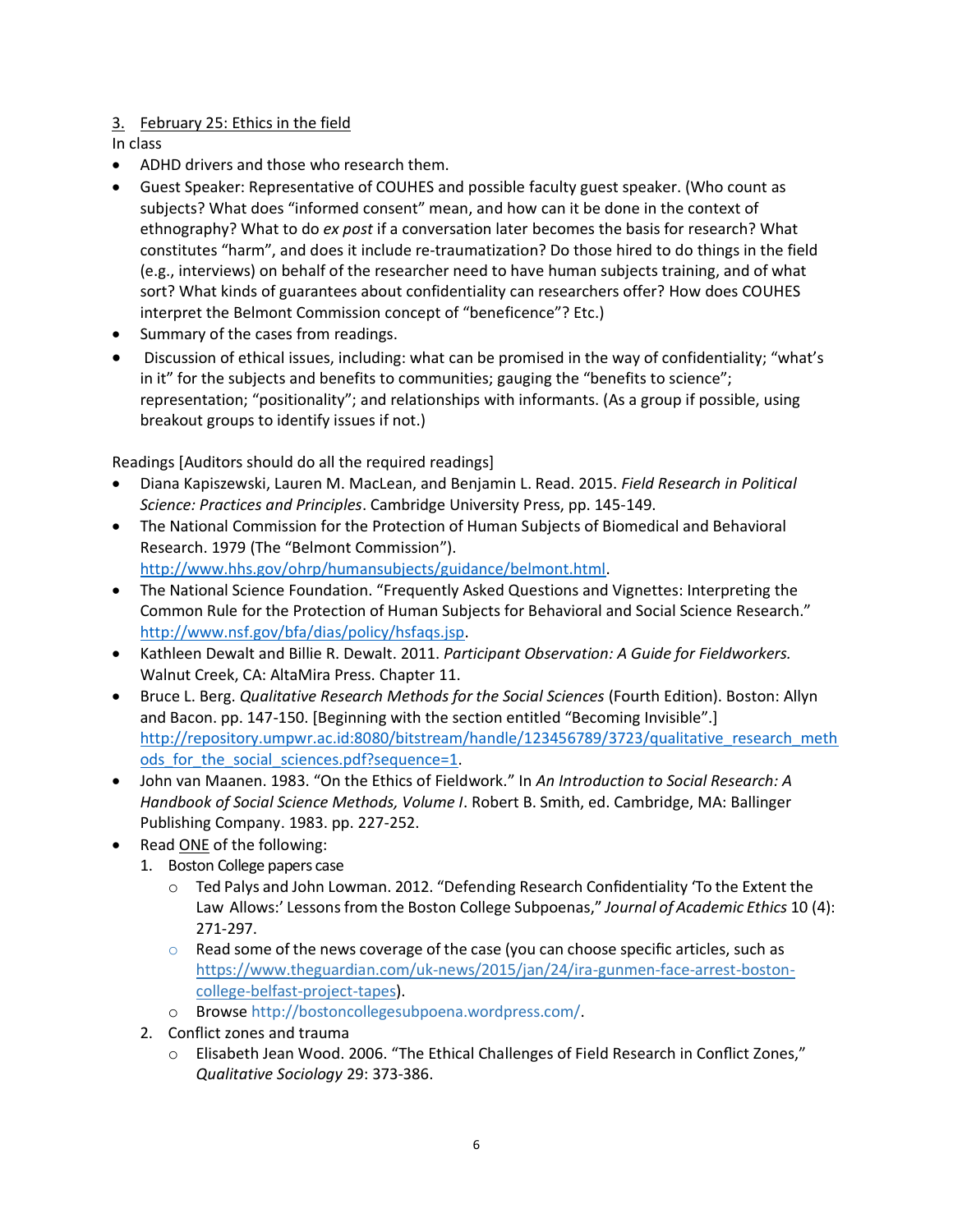## 3. February 25: Ethics in the field

In class

- ADHD drivers and those who research them.
- Guest Speaker: Representative of COUHES and possible faculty guest speaker. (Who count as subjects? What does "informed consent" mean, and how can it be done in the context of ethnography? What to do *ex post* if a conversation later becomes the basis for research? What constitutes "harm", and does it include re-traumatization? Do those hired to do things in the field (e.g., interviews) on behalf of the researcher need to have human subjects training, and of what sort? What kinds of guarantees about confidentiality can researchers offer? How does COUHES interpret the Belmont Commission concept of "beneficence"? Etc.)
- Summary of the cases from readings.
- Discussion of ethical issues, including: what can be promised in the way of confidentiality; "what's in it" for the subjects and benefits to communities; gauging the "benefits to science"; representation; "positionality"; and relationships with informants. (As a group if possible, using breakout groups to identify issues if not.)

Readings [Auditors should do all the required readings]

- [Diana Kapiszewski,](https://www.google.com/search?tbo=p&tbm=bks&q=inauthor:%22Diana+Kapiszewski%22) [Lauren M. MacLean,](https://www.google.com/search?tbo=p&tbm=bks&q=inauthor:%22Lauren+M.+MacLean%22) an[d Benjamin L. Read.](https://www.google.com/search?tbo=p&tbm=bks&q=inauthor:%22Benjamin+L.+Read%22) 2015. *Field Research in Political Science: Practices and Principles*. Cambridge University Press, pp. 145-149.
- The National Commission for the Protection of Human Subjects of Biomedical and Behavioral Research. 1979 (The "Belmont Commission"). [http://www.hhs.gov/ohrp/humansubjects/guidance/belmont.html.](http://www.hhs.gov/ohrp/humansubjects/guidance/belmont.html)
- The National Science Foundation. "Frequently Asked Questions and Vignettes: Interpreting the Common Rule for the Protection of Human Subjects for Behavioral and Social Science Research." [http://www.nsf.gov/bfa/dias/policy/hsfaqs.jsp.](http://www.nsf.gov/bfa/dias/policy/hsfaqs.jsp)
- Kathleen Dewalt and Billie R. Dewalt. 2011. *Participant Observation: A Guide for Fieldworkers.*  Walnut Creek, CA: AltaMira Press. Chapter 11.
- Bruce L. Berg. *Qualitative Research Methods for the Social Sciences* (Fourth Edition). Boston: Allyn and Bacon. pp. 147-150. [Beginning with the section entitled "Becoming Invisible".] http://repository.umpwr.ac.id:8080/bitstream/handle/123456789/3723/qualitative research meth ods for the social sciences.pdf?sequence=1.
- John van Maanen. 1983. "On the Ethics of Fieldwork." In *An Introduction to Social Research: A Handbook of Social Science Methods, Volume I*. Robert B. Smith, ed. Cambridge, MA: Ballinger Publishing Company. 1983. pp. 227-252.
- Read ONE of the following:
	- 1. Boston College papers case
		- o Ted Palys and John Lowman. 2012. "Defending Research Confidentiality 'To the Extent the Law Allows:' Lessonsfrom the Boston College Subpoenas," *Journal of Academic Ethics* 10 (4): 271-297.
		- $\circ$  Read some of the news coverage of the case (you can choose specific articles, such as [https://www.theguardian.com/uk-news/2015/jan/24/ira-gunmen-face-arrest-boston](https://www.theguardian.com/uk-news/2015/jan/24/ira-gunmen-face-arrest-boston-college-belfast-project-tapes)[college-belfast-project-tapes\)](https://www.theguardian.com/uk-news/2015/jan/24/ira-gunmen-face-arrest-boston-college-belfast-project-tapes).
		- o Browse [http://bostoncollegesubpoena.wordpress.com/.](http://bostoncollegesubpoena.wordpress.com/)
	- 2. Conflict zones and trauma
		- o Elisabeth Jean Wood. 2006. "The Ethical Challenges of Field Research in Conflict Zones," *Qualitative Sociology* 29: 373-386.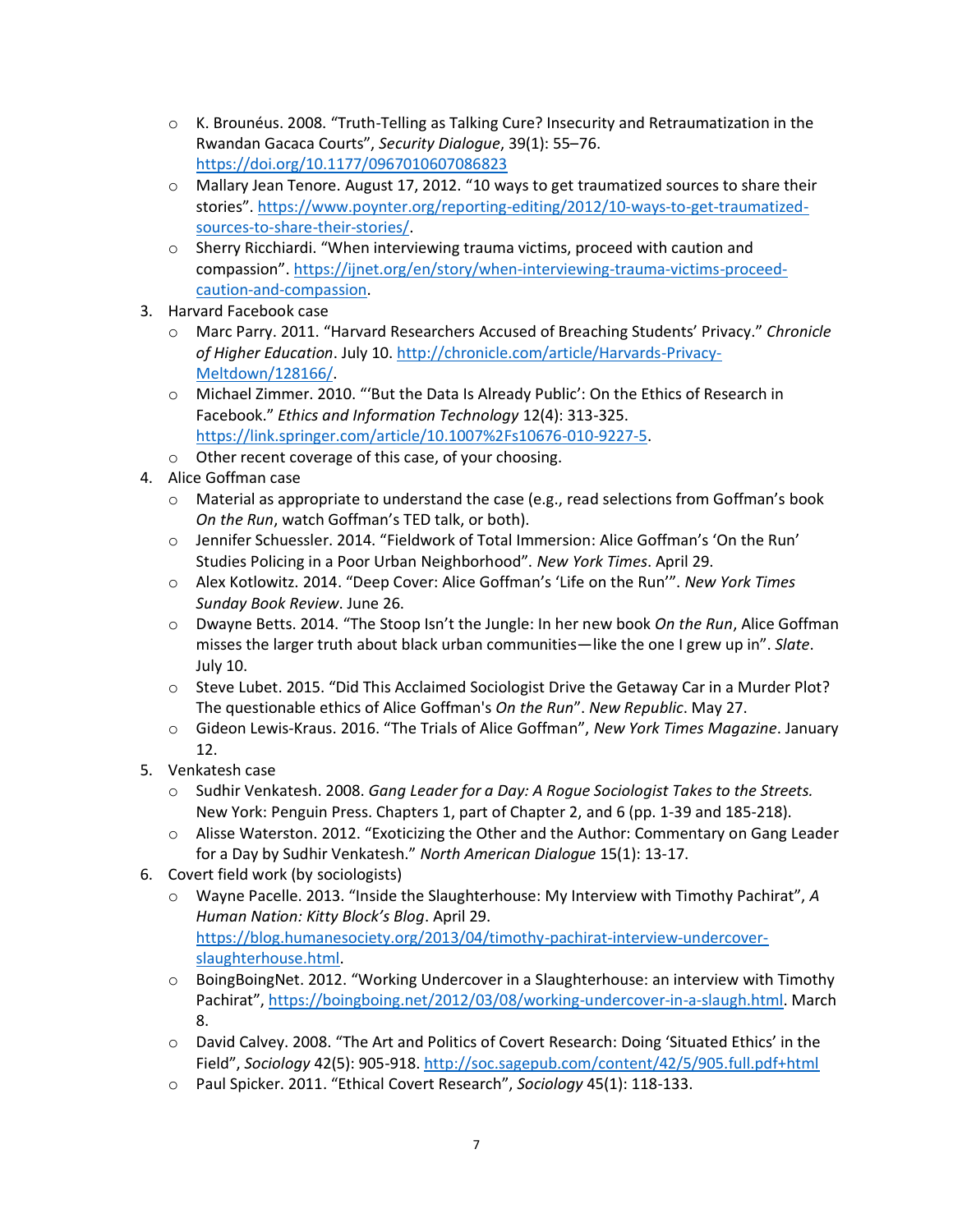- $\circ$  K. Brounéus. 2008. "Truth-Telling as Talking Cure? Insecurity and Retraumatization in the Rwandan Gacaca Courts", *Security Dialogue*, 39(1): 55–76. <https://doi.org/10.1177/0967010607086823>
- o Mallary Jean Tenore. August 17, 2012. "10 ways to get traumatized sources to share their stories". [https://www.poynter.org/reporting-editing/2012/10-ways-to-get-traumatized](https://www.poynter.org/reporting-editing/2012/10-ways-to-get-traumatized-sources-to-share-their-stories/)[sources-to-share-their-stories/.](https://www.poynter.org/reporting-editing/2012/10-ways-to-get-traumatized-sources-to-share-their-stories/)
- o Sherry Ricchiardi. "When interviewing trauma victims, proceed with caution and compassion". [https://ijnet.org/en/story/when-interviewing-trauma-victims-proceed](https://ijnet.org/en/story/when-interviewing-trauma-victims-proceed-caution-and-compassion)[caution-and-compassion.](https://ijnet.org/en/story/when-interviewing-trauma-victims-proceed-caution-and-compassion)
- 3. Harvard Facebook case
	- o Marc Parry. 2011. "Harvard Researchers Accused of Breaching Students' Privacy." *Chronicle of Higher Education*. July 10. [http://chronicle.com/article/Harvards-Privacy-](http://chronicle.com/article/Harvards-Privacy-Meltdown/128166/)[Meltdown/128166/.](http://chronicle.com/article/Harvards-Privacy-Meltdown/128166/)
	- o Michael Zimmer. 2010. "'But the Data Is Already Public': On the Ethics of Research in Facebook." *Ethics and Information Technology* 12(4): 313-325. [https://link.springer.com/article/10.1007%2Fs10676-010-9227-5.](https://link.springer.com/article/10.1007%2Fs10676-010-9227-5)
	- o Other recent coverage of this case, of your choosing.
- 4. Alice Goffman case
	- $\circ$  Material as appropriate to understand the case (e.g., read selections from Goffman's book *On the Run*, watch Goffman's TED talk, or both).
	- o Jennifer Schuessler. 2014. "Fieldwork of Total Immersion: Alice Goffman's 'On the Run' Studies Policing in a Poor Urban Neighborhood". *New York Times*. April 29.
	- o Alex Kotlowitz. 2014. "Deep Cover: Alice Goffman's 'Life on the Run'". *New York Times Sunday Book Review*. June 26.
	- o Dwayne Betts. 2014. "The Stoop Isn't the Jungle: In her new book *On the Run*, Alice Goffman misses the larger truth about black urban communities—like the one I grew up in". *Slate*. July 10.
	- $\circ$  Steve Lubet. 2015. "Did This Acclaimed Sociologist Drive the Getaway Car in a Murder Plot? The questionable ethics of Alice Goffman's *On the Run*". *New Republic*. May 27.
	- o Gideon Lewis-Kraus. 2016. "The Trials of Alice Goffman", *New York Times Magazine*. January 12.
- 5. Venkatesh case
	- o Sudhir Venkatesh. 2008. *Gang Leader for a Day: A Rogue Sociologist Takes to the Streets.* New York: Penguin Press. Chapters 1, part of Chapter 2, and 6 (pp. 1-39 and 185-218).
	- $\circ$  Alisse Waterston. 2012. "Exoticizing the Other and the Author: Commentary on Gang Leader for a Day by Sudhir Venkatesh." *North American Dialogue* 15(1): 13-17.
- 6. Covert field work (by sociologists)
	- o Wayne Pacelle. 2013. "Inside the Slaughterhouse: My Interview with Timothy Pachirat", *A Human Nation: Kitty Block's Blog*. April 29. [https://blog.humanesociety.org/2013/04/timothy-pachirat-interview-undercover](https://blog.humanesociety.org/2013/04/timothy-pachirat-interview-undercover-slaughterhouse.html)[slaughterhouse.html.](https://blog.humanesociety.org/2013/04/timothy-pachirat-interview-undercover-slaughterhouse.html)
	- o BoingBoingNet. 2012. "Working Undercover in a Slaughterhouse: an interview with Timothy Pachirat", [https://boingboing.net/2012/03/08/working-undercover-in-a-slaugh.html.](https://boingboing.net/2012/03/08/working-undercover-in-a-slaugh.html) March 8.
	- o David Calvey. 2008. "The Art and Politics of Covert Research: Doing 'Situated Ethics' in the Field", *Sociology* 42(5): 905-918[. http://soc.sagepub.com/content/42/5/905.full.pdf+html](http://soc.sagepub.com/content/42/5/905.full.pdf+html)
	- o Paul Spicker. 2011. "Ethical Covert Research", *Sociology* 45(1): 118-133.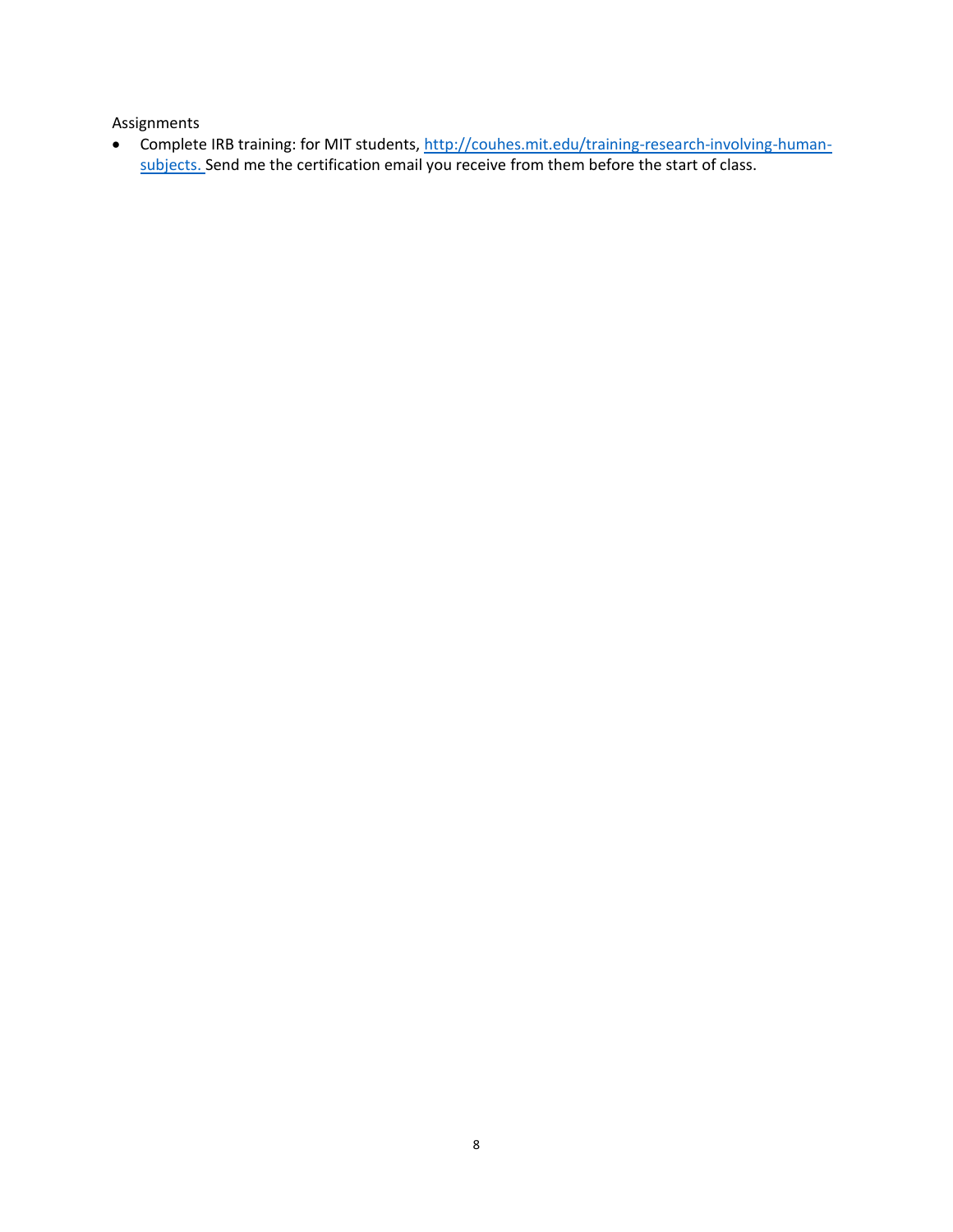Assignments

• Complete IRB training: for MIT students[, http://couhes.mit.edu/training-research-involving-human](http://couhes.mit.edu/training-research-involving-human-subjects)[subjects.](http://couhes.mit.edu/training-research-involving-human-subjects) Send me the certification email you receive from them before the start of class.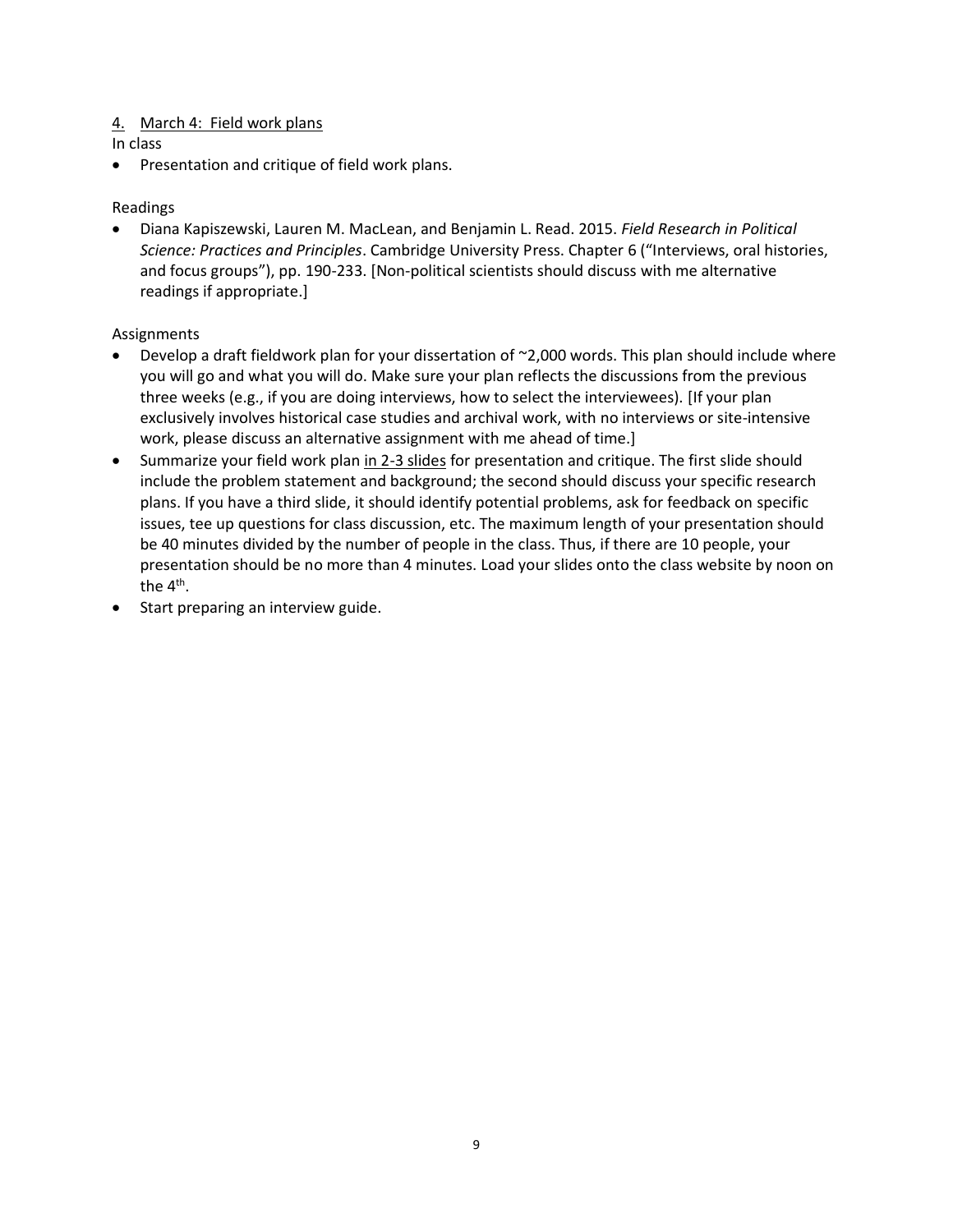## 4. March 4: Field work plans

In class

• Presentation and critique of field work plans.

## Readings

• [Diana Kapiszewski,](https://www.google.com/search?tbo=p&tbm=bks&q=inauthor:%22Diana+Kapiszewski%22) [Lauren M. MacLean,](https://www.google.com/search?tbo=p&tbm=bks&q=inauthor:%22Lauren+M.+MacLean%22) an[d Benjamin L. Read.](https://www.google.com/search?tbo=p&tbm=bks&q=inauthor:%22Benjamin+L.+Read%22) 2015. *Field Research in Political Science: Practices and Principles*. Cambridge University Press. Chapter 6 ("Interviews, oral histories, and focus groups"), pp. 190-233. [Non-political scientists should discuss with me alternative readings if appropriate.]

### Assignments

- Develop a draft fieldwork plan for your dissertation of ~2,000 words. This plan should include where you will go and what you will do. Make sure your plan reflects the discussions from the previous three weeks (e.g., if you are doing interviews, how to select the interviewees). [If your plan exclusively involves historical case studies and archival work, with no interviews or site-intensive work, please discuss an alternative assignment with me ahead of time.]
- Summarize your field work plan in 2-3 slides for presentation and critique. The first slide should include the problem statement and background; the second should discuss your specific research plans. If you have a third slide, it should identify potential problems, ask for feedback on specific issues, tee up questions for class discussion, etc. The maximum length of your presentation should be 40 minutes divided by the number of people in the class. Thus, if there are 10 people, your presentation should be no more than 4 minutes. Load your slides onto the class website by noon on the 4<sup>th</sup>.
- Start preparing an interview guide.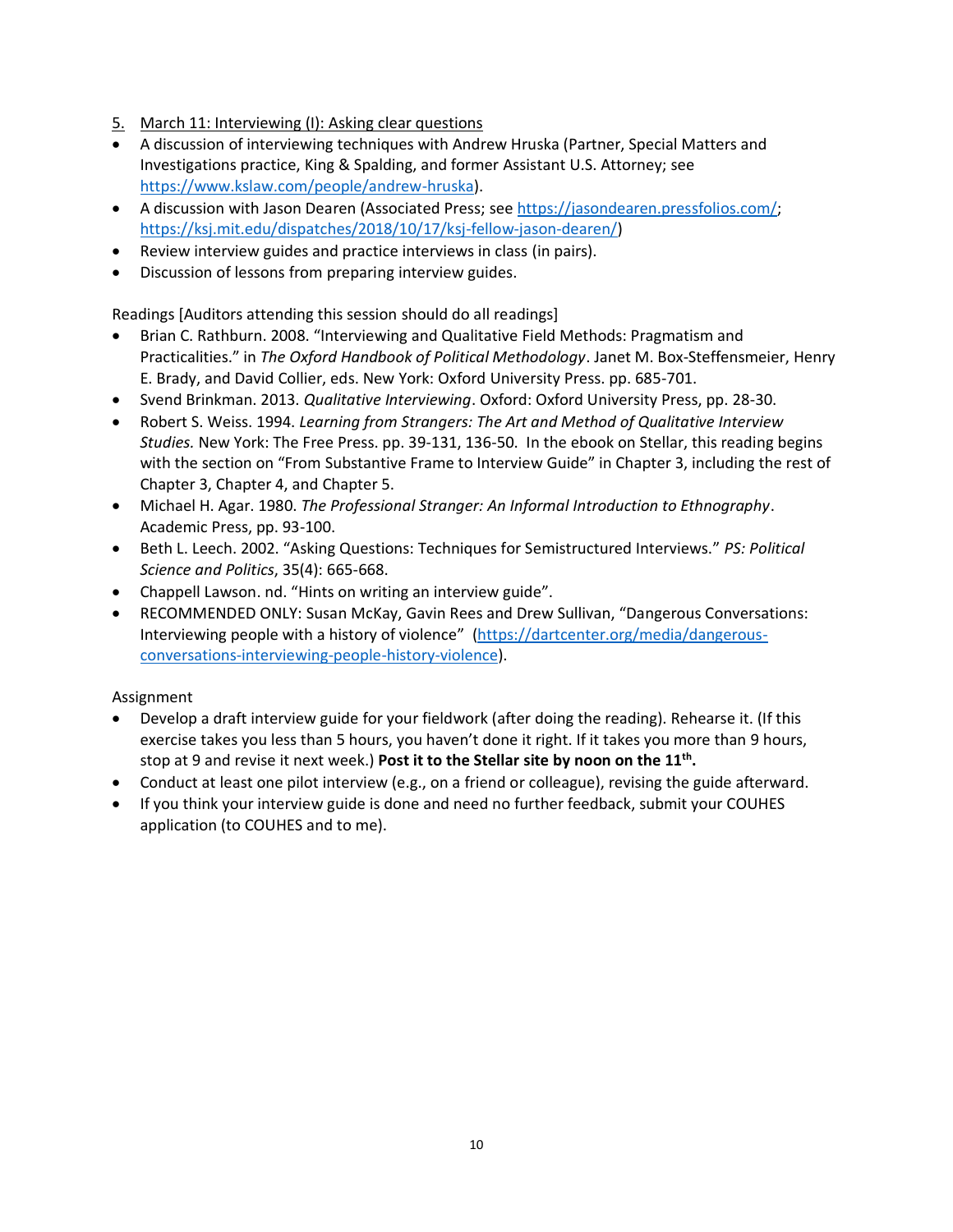- 5. March 11: Interviewing (I): Asking clear questions
- A discussion of interviewing techniques with Andrew Hruska (Partner, Special Matters and Investigations practice, King & Spalding, and former Assistant U.S. Attorney; see [https://www.kslaw.com/people/andrew-hruska\)](https://www.kslaw.com/people/andrew-hruska).
- A discussion with Jason Dearen (Associated Press; see [https://jasondearen.pressfolios.com/;](https://jasondearen.pressfolios.com/) [https://ksj.mit.edu/dispatches/2018/10/17/ksj-fellow-jason-dearen/\)](https://ksj.mit.edu/dispatches/2018/10/17/ksj-fellow-jason-dearen/)
- Review interview guides and practice interviews in class (in pairs).
- Discussion of lessons from preparing interview guides.

Readings [Auditors attending this session should do all readings]

- Brian C. Rathburn. 2008. "Interviewing and Qualitative Field Methods: Pragmatism and Practicalities." in *The Oxford Handbook of Political Methodology*. Janet M. Box-Steffensmeier, Henry E. Brady, and David Collier, eds. New York: Oxford University Press. pp. 685-701.
- Svend Brinkman. 2013. *Qualitative Interviewing*. Oxford: Oxford University Press, pp. 28-30.
- Robert S. Weiss. 1994. *Learning from Strangers: The Art and Method of Qualitative Interview Studies.* New York: The Free Press. pp. 39-131, 136-50. In the ebook on Stellar, this reading begins with the section on "From Substantive Frame to Interview Guide" in Chapter 3, including the rest of Chapter 3, Chapter 4, and Chapter 5.
- Michael H. Agar. 1980. *The Professional Stranger: An Informal Introduction to Ethnography*. Academic Press, pp. 93-100.
- Beth L. Leech. 2002. "Asking Questions: Techniques for Semistructured Interviews." *PS: Political Science and Politics*, 35(4): 665-668.
- Chappell Lawson. nd. "Hints on writing an interview guide".
- RECOMMENDED ONLY: Susan McKay, Gavin Rees and Drew Sullivan, "Dangerous Conversations: Interviewing people with a history of violence" [\(https://dartcenter.org/media/dangerous](https://dartcenter.org/media/dangerous-conversations-interviewing-people-history-violence)[conversations-interviewing-people-history-violence\)](https://dartcenter.org/media/dangerous-conversations-interviewing-people-history-violence).

### Assignment

- Develop a draft interview guide for your fieldwork (after doing the reading). Rehearse it. (If this exercise takes you less than 5 hours, you haven't done it right. If it takes you more than 9 hours, stop at 9 and revise it next week.) **Post it to the Stellar site by noon on the 11th .**
- Conduct at least one pilot interview (e.g., on a friend or colleague), revising the guide afterward.
- If you think your interview guide is done and need no further feedback, submit your COUHES application (to COUHES and to me).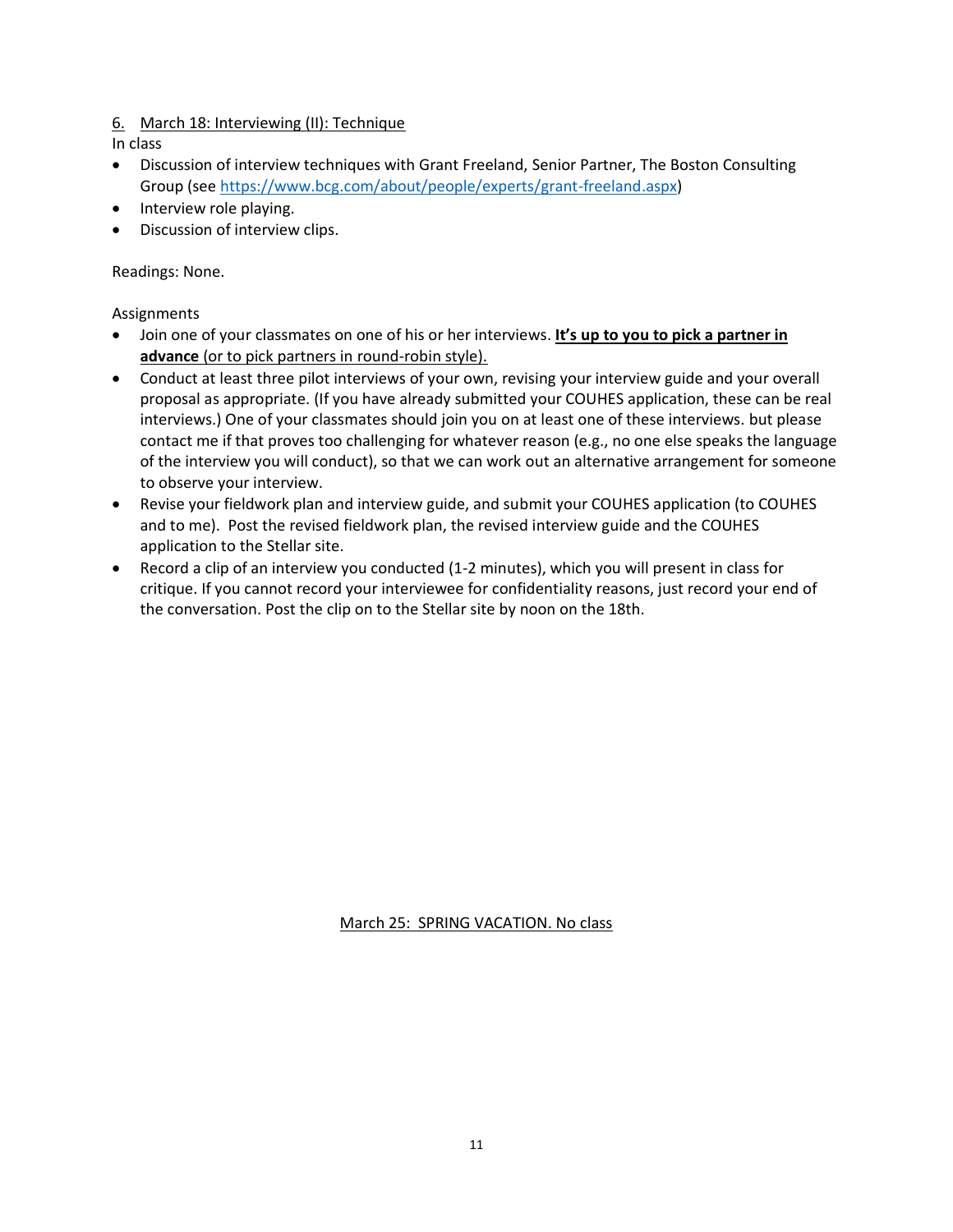## 6. March 18: Interviewing (II): Technique

In class

- Discussion of interview techniques with Grant Freeland, Senior Partner, The Boston Consulting Group (see [https://www.bcg.com/about/people/experts/grant-freeland.aspx\)](https://www.bcg.com/about/people/experts/grant-freeland.aspx)
- Interview role playing.
- Discussion of interview clips.

Readings: None.

Assignments

- Join one of your classmates on one of his or her interviews. **It's up to you to pick a partner in advance** (or to pick partners in round-robin style).
- Conduct at least three pilot interviews of your own, revising your interview guide and your overall proposal as appropriate. (If you have already submitted your COUHES application, these can be real interviews.) One of your classmates should join you on at least one of these interviews. but please contact me if that proves too challenging for whatever reason (e.g., no one else speaks the language of the interview you will conduct), so that we can work out an alternative arrangement for someone to observe your interview.
- Revise your fieldwork plan and interview guide, and submit your COUHES application (to COUHES and to me). Post the revised fieldwork plan, the revised interview guide and the COUHES application to the Stellar site.
- Record a clip of an interview you conducted (1-2 minutes), which you will present in class for critique. If you cannot record your interviewee for confidentiality reasons, just record your end of the conversation. Post the clip on to the Stellar site by noon on the 18th.

March 25: SPRING VACATION. No class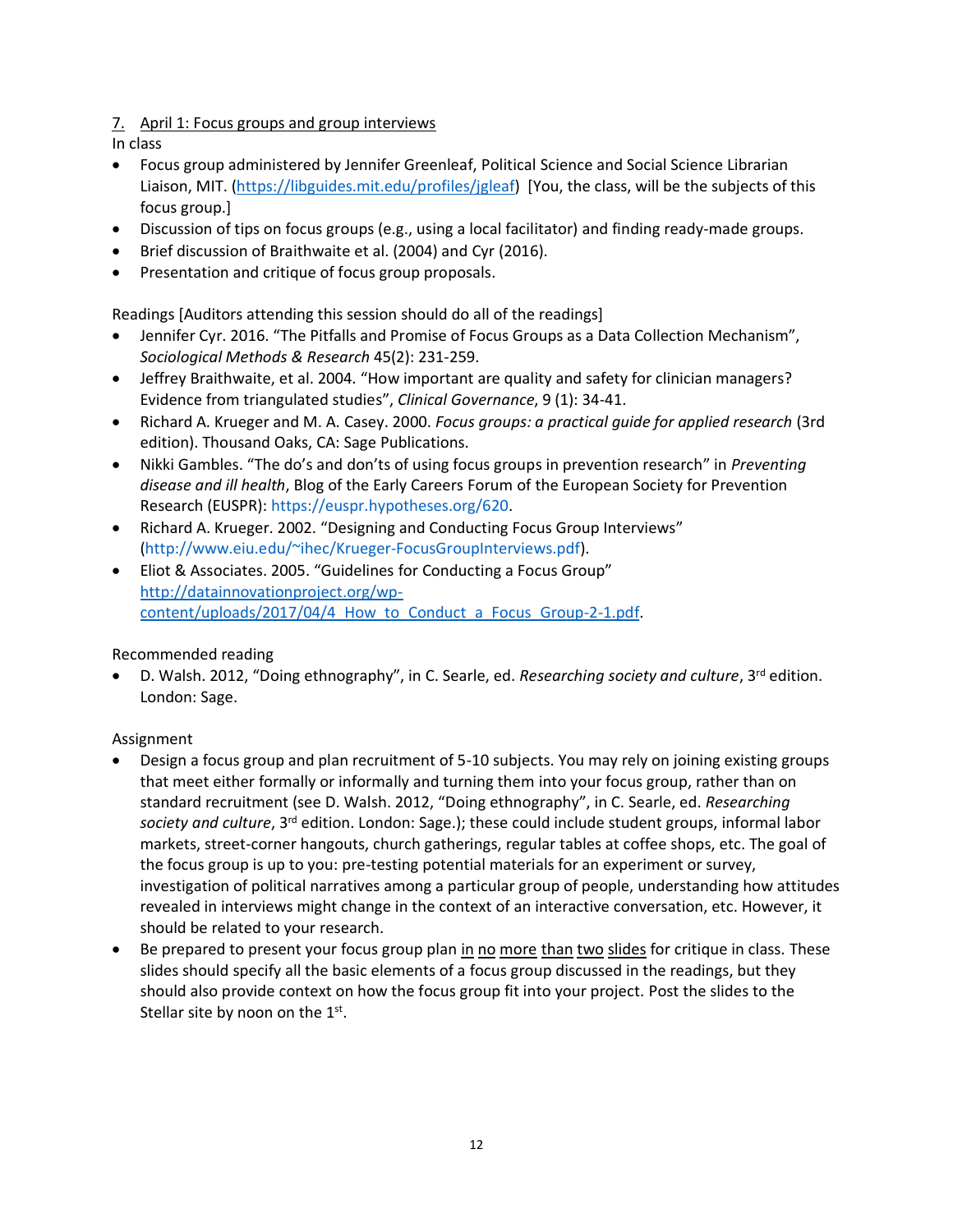## 7. April 1: Focus groups and group interviews

In class

- Focus group administered by Jennifer Greenleaf, Political Science and Social Science Librarian Liaison, MIT. [\(https://libguides.mit.edu/profiles/jgleaf\)](https://libguides.mit.edu/profiles/jgleaf) [You, the class, will be the subjects of this focus group.]
- Discussion of tips on focus groups (e.g., using a local facilitator) and finding ready-made groups.
- Brief discussion of Braithwaite et al. (2004) and Cyr (2016).
- Presentation and critique of focus group proposals.

Readings [Auditors attending this session should do all of the readings]

- Jennifer Cyr. 2016. "The Pitfalls and Promise of Focus Groups as a Data Collection Mechanism", *Sociological Methods & Research* 45(2): 231-259.
- Jeffrey Braithwaite, et al. 2004. "[How important are quality and safety for clinician managers?](http://www.emeraldinsight.com/doi/abs/10.1108/14777270410517700)  [Evidence from triangulated studies](http://www.emeraldinsight.com/doi/abs/10.1108/14777270410517700)", *Clinical Governance*, 9 (1): 34-41.
- Richard A. Krueger and M. A. Casey. 2000. *Focus groups: a practical guide for applied research* (3rd edition). Thousand Oaks, CA: Sage Publications.
- Nikki Gambles. "The do's and don'ts of using focus groups in prevention research" in *[Preventing](https://euspr.hypotheses.org/)  [disease and ill health](https://euspr.hypotheses.org/)*, Blog of the Early Careers Forum of the European Society for Prevention Research (EUSPR): [https://euspr.hypotheses.org/620.](https://euspr.hypotheses.org/620)
- Richard A. Krueger. 2002. "Designing and Conducting Focus Group Interviews" [\(http://www.eiu.edu/~ihec/Krueger-FocusGroupInterviews.pdf\)](http://www.eiu.edu/~ihec/Krueger-FocusGroupInterviews.pdf).
- Eliot & Associates. 2005. "Guidelines for Conducting a Focus Group" [http://datainnovationproject.org/wp](http://datainnovationproject.org/wp-content/uploads/2017/04/4_How_to_Conduct_a_Focus_Group-2-1.pdf)content/uploads/2017/04/4 How to Conduct a Focus Group-2-1.pdf.

## Recommended reading

• D. Walsh. 2012, "Doing ethnography", in C. Searle, ed. *Researching society and culture*, 3rd edition. London: Sage.

## Assignment

- Design a focus group and plan recruitment of 5-10 subjects. You may rely on joining existing groups that meet either formally or informally and turning them into your focus group, rather than on standard recruitment (see D. Walsh. 2012, "Doing ethnography", in C. Searle, ed. *Researching society and culture*, 3rd edition. London: Sage.); these could include student groups, informal labor markets, street-corner hangouts, church gatherings, regular tables at coffee shops, etc. The goal of the focus group is up to you: pre-testing potential materials for an experiment or survey, investigation of political narratives among a particular group of people, understanding how attitudes revealed in interviews might change in the context of an interactive conversation, etc. However, it should be related to your research.
- Be prepared to present your focus group plan in no more than two slides for critique in class. These slides should specify all the basic elements of a focus group discussed in the readings, but they should also provide context on how the focus group fit into your project. Post the slides to the Stellar site by noon on the  $1<sup>st</sup>$ .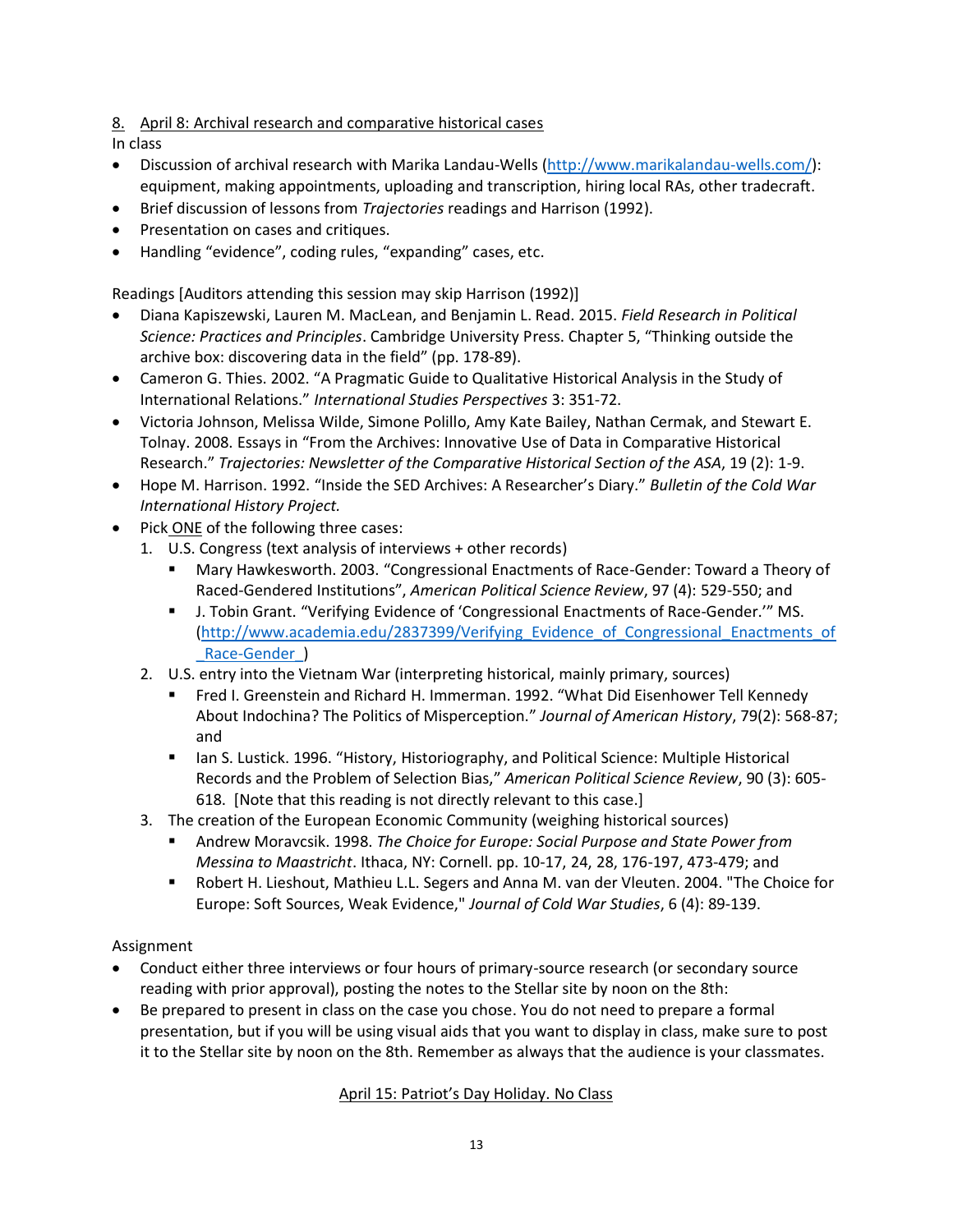## 8. April 8: Archival research and comparative historical cases

In class

- Discussion of archival research with Marika Landau-Wells [\(http://www.marikalandau-wells.com/\)](http://www.marikalandau-wells.com/): equipment, making appointments, uploading and transcription, hiring local RAs, other tradecraft.
- Brief discussion of lessons from *Trajectories* readings and Harrison (1992).
- Presentation on cases and critiques.
- Handling "evidence", coding rules, "expanding" cases, etc.

Readings [Auditors attending this session may skip Harrison (1992)]

- [Diana Kapiszewski,](https://www.google.com/search?tbo=p&tbm=bks&q=inauthor:%22Diana+Kapiszewski%22) [Lauren M. MacLean,](https://www.google.com/search?tbo=p&tbm=bks&q=inauthor:%22Lauren+M.+MacLean%22) an[d Benjamin L. Read.](https://www.google.com/search?tbo=p&tbm=bks&q=inauthor:%22Benjamin+L.+Read%22) 2015. *Field Research in Political Science: Practices and Principles*. Cambridge University Press. Chapter 5, "Thinking outside the archive box: discovering data in the field" (pp. 178-89).
- Cameron G. Thies. 2002. "A Pragmatic Guide to Qualitative Historical Analysis in the Study of International Relations." *International Studies Perspectives* 3: 351-72.
- Victoria Johnson, Melissa Wilde, Simone Polillo, Amy Kate Bailey, Nathan Cermak, and Stewart E. Tolnay. 2008. Essays in "From the Archives: Innovative Use of Data in Comparative Historical Research." *Trajectories: Newsletter of the Comparative Historical Section of the ASA*, 19 (2): 1-9.
- Hope M. Harrison. 1992. "Inside the SED Archives: A Researcher's Diary." *Bulletin of the Cold War International History Project.*
- Pick ONE of the following three cases:
	- 1. U.S. Congress (text analysis of interviews + other records)
		- Mary Hawkesworth. 2003. "Congressional Enactments of Race-Gender: Toward a Theory of Raced-Gendered Institutions", *American Political Science Review*, 97 (4): 529-550; and
		- J. Tobin Grant. "Verifying Evidence of 'Congressional Enactments of Race-Gender.'" MS. [\(http://www.academia.edu/2837399/Verifying\\_Evidence\\_of\\_Congressional\\_Enactments\\_of](http://www.academia.edu/2837399/Verifying_Evidence_of_Congressional_Enactments_of_Race-Gender_) [\\_Race-Gender\\_\)](http://www.academia.edu/2837399/Verifying_Evidence_of_Congressional_Enactments_of_Race-Gender_)
	- 2. U.S. entry into the Vietnam War (interpreting historical, mainly primary, sources)
		- Fred I. Greenstein and Richard H. Immerman. 1992. "What Did Eisenhower Tell Kennedy About Indochina? The Politics of Misperception." *Journal of American History*, 79(2): 568-87; and
		- **■** Ian S. Lustick. 1996. "History, Historiography, and Political Science: Multiple Historical Records and the Problem of Selection Bias," *American Political Science Review*, 90 (3): 605- 618. [Note that this reading is not directly relevant to this case.]
	- 3. The creation of the European Economic Community (weighing historical sources)
		- Andrew Moravcsik. 1998. *The Choice for Europe: Social Purpose and State Power from Messina to Maastricht*. Ithaca, NY: Cornell. pp. 10-17, 24, 28, 176-197, 473-479; and
		- Robert H. Lieshout, Mathieu L.L. Segers and Anna M. van der Vleuten. 2004. "The Choice for Europe: Soft Sources, Weak Evidence," *Journal of Cold War Studies*, 6 (4): 89-139.

## Assignment

- Conduct either three interviews or four hours of primary-source research (or secondary source reading with prior approval), posting the notes to the Stellar site by noon on the 8th:
- Be prepared to present in class on the case you chose. You do not need to prepare a formal presentation, but if you will be using visual aids that you want to display in class, make sure to post it to the Stellar site by noon on the 8th. Remember as always that the audience is your classmates.

## April 15: Patriot's Day Holiday. No Class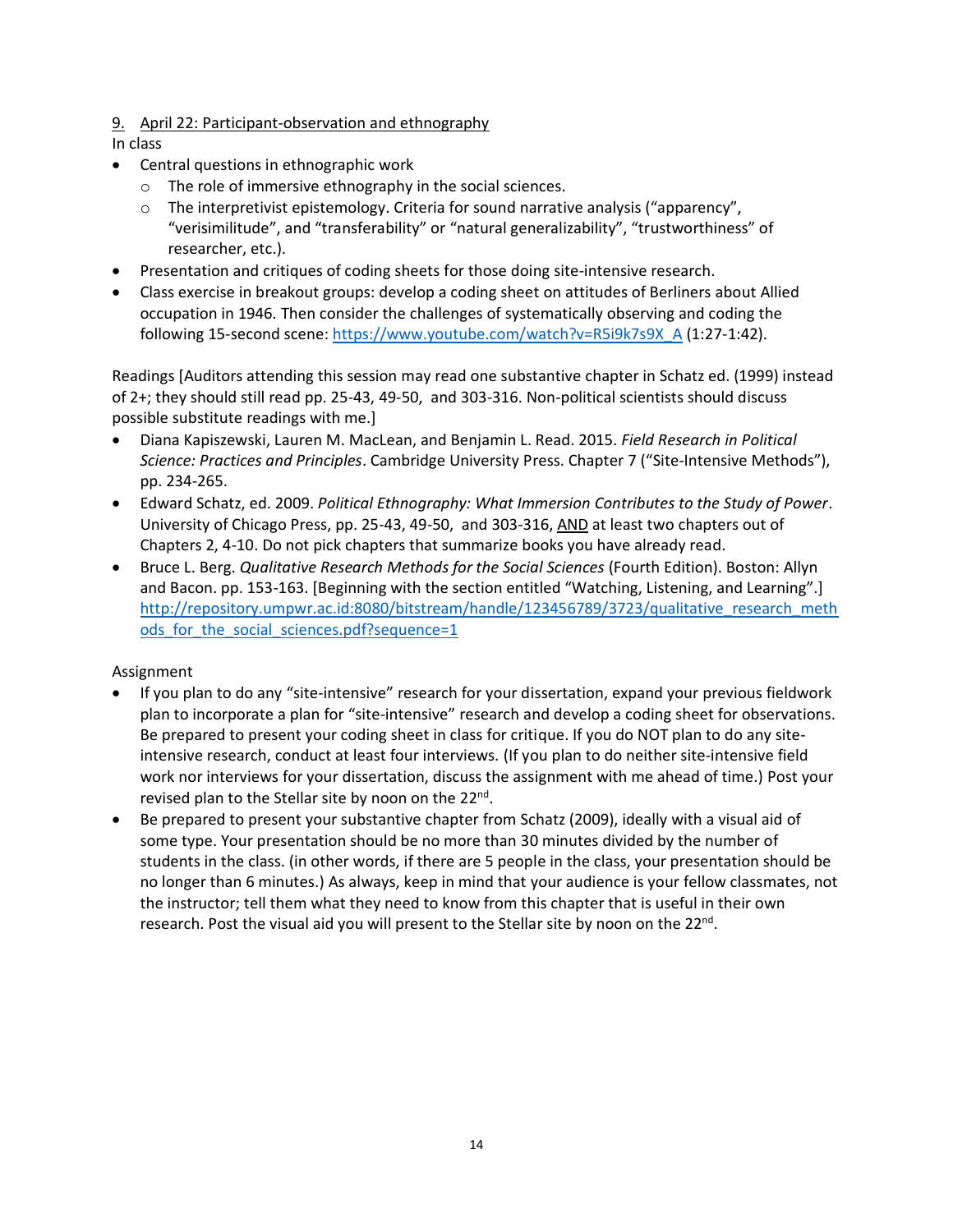## 9. April 22: Participant-observation and ethnography

In class

- Central questions in ethnographic work
	- o The role of immersive ethnography in the social sciences.
	- $\circ$  The interpretivist epistemology. Criteria for sound narrative analysis ("apparency", "verisimilitude", and "transferability" or "natural generalizability", "trustworthiness" of researcher, etc.).
- Presentation and critiques of coding sheets for those doing site-intensive research.
- Class exercise in breakout groups: develop a coding sheet on attitudes of Berliners about Allied occupation in 1946. Then consider the challenges of systematically observing and coding the following 15-second scene: [https://www.youtube.com/watch?v=R5i9k7s9X\\_A](https://www.youtube.com/watch?v=R5i9k7s9X_A) (1:27-1:42).

Readings [Auditors attending this session may read one substantive chapter in Schatz ed. (1999) instead of 2+; they should still read pp. 25-43, 49-50, and 303-316. Non-political scientists should discuss possible substitute readings with me.]

- [Diana Kapiszewski,](https://www.google.com/search?tbo=p&tbm=bks&q=inauthor:%22Diana+Kapiszewski%22) [Lauren M. MacLean,](https://www.google.com/search?tbo=p&tbm=bks&q=inauthor:%22Lauren+M.+MacLean%22) an[d Benjamin L. Read.](https://www.google.com/search?tbo=p&tbm=bks&q=inauthor:%22Benjamin+L.+Read%22) 2015. *Field Research in Political Science: Practices and Principles*. Cambridge University Press. Chapter 7 ("Site-Intensive Methods"), pp. 234-265.
- Edward Schatz, ed. 2009. *Political Ethnography: What Immersion Contributes to the Study of Power*. University of Chicago Press, pp. 25-43, 49-50, and 303-316, AND at least two chapters out of Chapters 2, 4-10. Do not pick chapters that summarize books you have already read.
- Bruce L. Berg. *Qualitative Research Methods for the Social Sciences* (Fourth Edition). Boston: Allyn and Bacon. pp. 153-163. [Beginning with the section entitled "Watching, Listening, and Learning".] [http://repository.umpwr.ac.id:8080/bitstream/handle/123456789/3723/qualitative\\_research\\_meth](http://repository.umpwr.ac.id:8080/bitstream/handle/123456789/3723/qualitative_research_methods_for_the_social_sciences.pdf?sequence=1) ods for the social sciences.pdf?sequence=1

## Assignment

- If you plan to do any "site-intensive" research for your dissertation, expand your previous fieldwork plan to incorporate a plan for "site-intensive" research and develop a coding sheet for observations. Be prepared to present your coding sheet in class for critique. If you do NOT plan to do any siteintensive research, conduct at least four interviews. (If you plan to do neither site-intensive field work nor interviews for your dissertation, discuss the assignment with me ahead of time.) Post your revised plan to the Stellar site by noon on the 22<sup>nd</sup>.
- Be prepared to present your substantive chapter from Schatz (2009), ideally with a visual aid of some type. Your presentation should be no more than 30 minutes divided by the number of students in the class. (in other words, if there are 5 people in the class, your presentation should be no longer than 6 minutes.) As always, keep in mind that your audience is your fellow classmates, not the instructor; tell them what they need to know from this chapter that is useful in their own research. Post the visual aid you will present to the Stellar site by noon on the 22<sup>nd</sup>.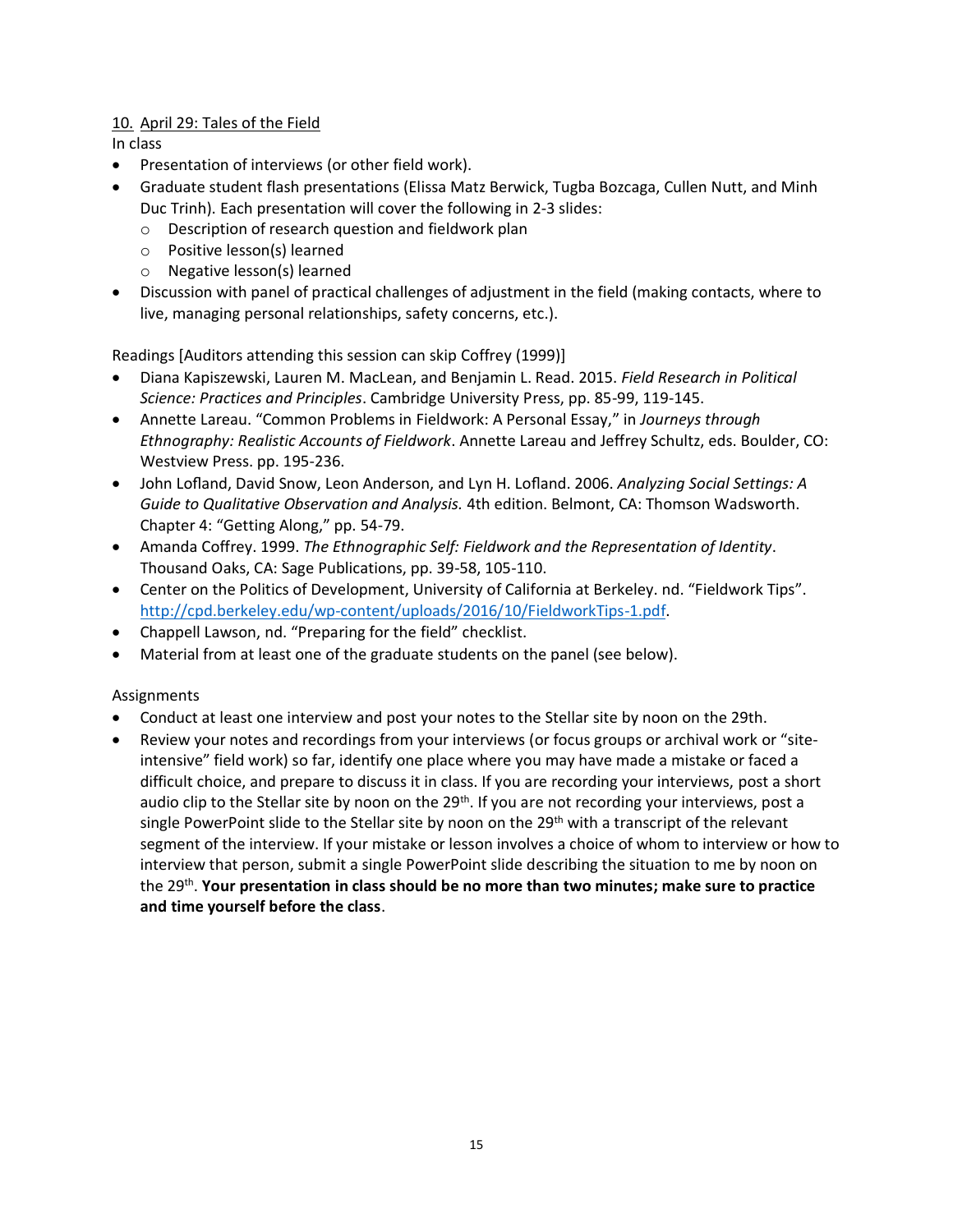## 10. April 29: Tales of the Field

In class

- Presentation of interviews (or other field work).
- Graduate student flash presentations (Elissa Matz Berwick, Tugba Bozcaga, Cullen Nutt, and Minh Duc Trinh). Each presentation will cover the following in 2-3 slides:
	- o Description of research question and fieldwork plan
	- o Positive lesson(s) learned
	- o Negative lesson(s) learned
- Discussion with panel of practical challenges of adjustment in the field (making contacts, where to live, managing personal relationships, safety concerns, etc.).

Readings [Auditors attending this session can skip Coffrey (1999)]

- [Diana Kapiszewski,](https://www.google.com/search?tbo=p&tbm=bks&q=inauthor:%22Diana+Kapiszewski%22) Lauren [M. MacLean,](https://www.google.com/search?tbo=p&tbm=bks&q=inauthor:%22Lauren+M.+MacLean%22) an[d Benjamin L. Read.](https://www.google.com/search?tbo=p&tbm=bks&q=inauthor:%22Benjamin+L.+Read%22) 2015. *Field Research in Political Science: Practices and Principles*. Cambridge University Press, pp. 85-99, 119-145.
- Annette Lareau. "Common Problems in Fieldwork: A Personal Essay," in *Journeys through Ethnography: Realistic Accounts of Fieldwork*. Annette Lareau and Jeffrey Schultz, eds. Boulder, CO: Westview Press. pp. 195-236.
- John Lofland, David Snow, Leon Anderson, and Lyn H. Lofland. 2006. *Analyzing Social Settings: A Guide to Qualitative Observation and Analysis.* 4th edition. Belmont, CA: Thomson Wadsworth. Chapter 4: "Getting Along," pp. 54-79.
- Amanda Coffrey. 1999. *The Ethnographic Self: Fieldwork and the Representation of Identity*. Thousand Oaks, CA: Sage Publications, pp. 39-58, 105-110.
- Center on the Politics of Development, University of California at Berkeley. nd. "Fieldwork Tips". [http://cpd.berkeley.edu/wp-content/uploads/2016/10/FieldworkTips-1.pdf.](http://cpd.berkeley.edu/wp-content/uploads/2016/10/FieldworkTips-1.pdf)
- Chappell Lawson, nd. "Preparing for the field" checklist.
- Material from at least one of the graduate students on the panel (see below).

### Assignments

- Conduct at least one interview and post your notes to the Stellar site by noon on the 29th.
- Review your notes and recordings from your interviews (or focus groups or archival work or "siteintensive" field work) so far, identify one place where you may have made a mistake or faced a difficult choice, and prepare to discuss it in class. If you are recording your interviews, post a short audio clip to the Stellar site by noon on the 29<sup>th</sup>. If you are not recording your interviews, post a single PowerPoint slide to the Stellar site by noon on the 29<sup>th</sup> with a transcript of the relevant segment of the interview. If your mistake or lesson involves a choice of whom to interview or how to interview that person, submit a single PowerPoint slide describing the situation to me by noon on the 29<sup>th</sup>. **Your presentation in class should be no more than two minutes; make sure to practice and time yourself before the class**.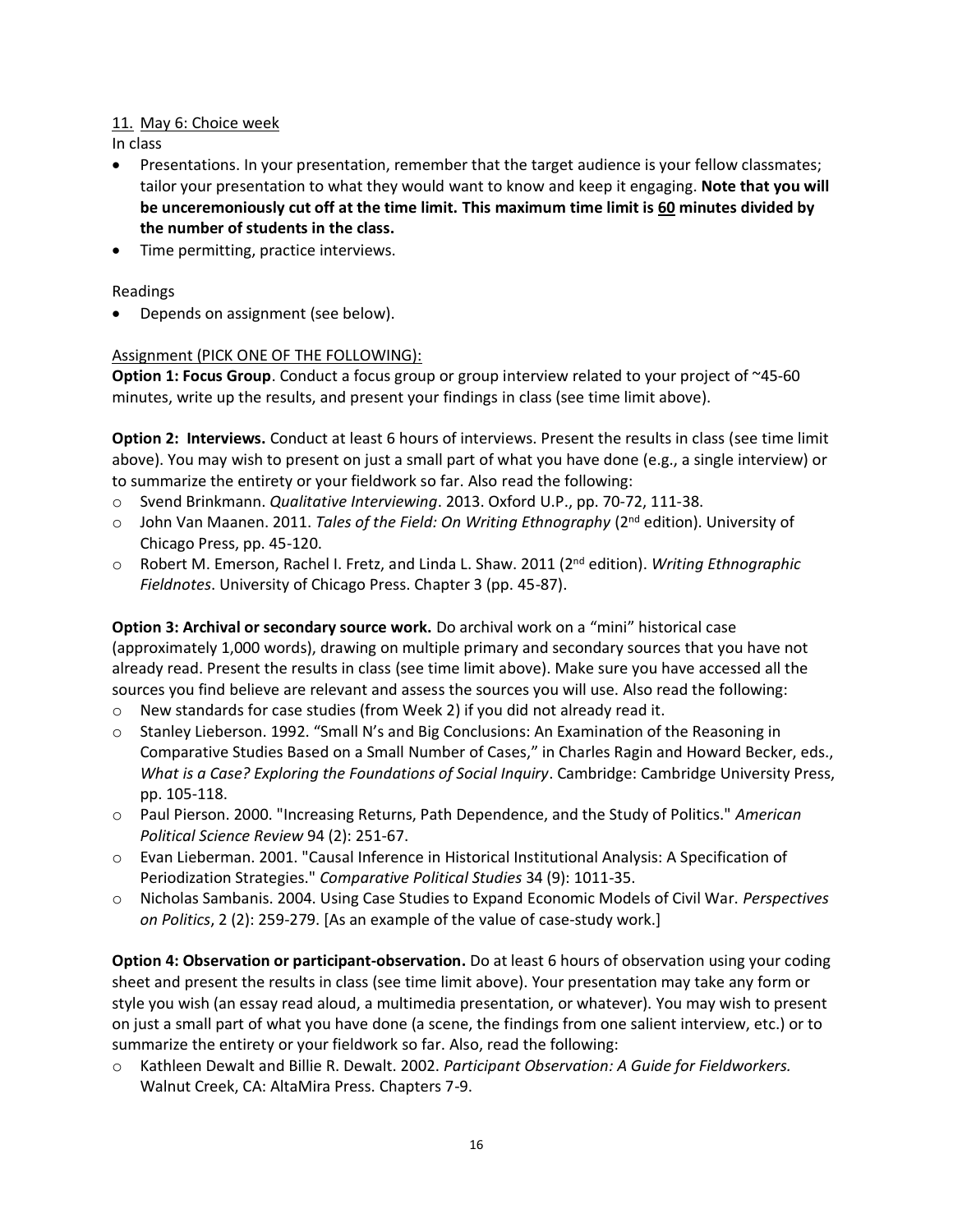## 11. May 6: Choice week

In class

- Presentations. In your presentation, remember that the target audience is your fellow classmates; tailor your presentation to what they would want to know and keep it engaging. **Note that you will be unceremoniously cut off at the time limit. This maximum time limit is 60 minutes divided by the number of students in the class.**
- Time permitting, practice interviews.

### Readings

• Depends on assignment (see below).

### Assignment (PICK ONE OF THE FOLLOWING):

**Option 1: Focus Group**. Conduct a focus group or group interview related to your project of ~45-60 minutes, write up the results, and present your findings in class (see time limit above).

**Option 2: Interviews.** Conduct at least 6 hours of interviews. Present the results in class (see time limit above). You may wish to present on just a small part of what you have done (e.g., a single interview) or to summarize the entirety or your fieldwork so far. Also read the following:

- o Svend Brinkmann. *Qualitative Interviewing*. 2013. Oxford U.P., pp. 70-72, 111-38.
- o John Van Maanen. 2011. *Tales of the Field: On Writing Ethnography* (2nd edition). University of Chicago Press, pp. 45-120.
- o Robert M. Emerson, Rachel I. Fretz, and Linda L. Shaw. 2011 (2 nd edition). *Writing Ethnographic Fieldnotes*. University of Chicago Press. Chapter 3 (pp. 45-87).

**Option 3: Archival or secondary source work.** Do archival work on a "mini" historical case (approximately 1,000 words), drawing on multiple primary and secondary sources that you have not already read. Present the results in class (see time limit above). Make sure you have accessed all the sources you find believe are relevant and assess the sources you will use. Also read the following:

- o New standards for case studies (from Week 2) if you did not already read it.
- o Stanley Lieberson. 1992. "Small N's and Big Conclusions: An Examination of the Reasoning in Comparative Studies Based on a Small Number of Cases," in Charles Ragin and Howard Becker, eds., *What is a Case? Exploring the Foundations of Social Inquiry*. Cambridge: Cambridge University Press, pp. 105-118.
- o Paul Pierson. 2000. "Increasing Returns, Path Dependence, and the Study of Politics." *American Political Science Review* 94 (2): 251-67.
- o Evan Lieberman. 2001. "Causal Inference in Historical Institutional Analysis: A Specification of Periodization Strategies." *Comparative Political Studies* 34 (9): 1011-35.
- o Nicholas Sambanis. 2004. Using Case Studies to Expand Economic Models of Civil War. *Perspectives on Politics*, 2 (2): 259-279. [As an example of the value of case-study work.]

**Option 4: Observation or participant-observation.** Do at least 6 hours of observation using your coding sheet and present the results in class (see time limit above). Your presentation may take any form or style you wish (an essay read aloud, a multimedia presentation, or whatever). You may wish to present on just a small part of what you have done (a scene, the findings from one salient interview, etc.) or to summarize the entirety or your fieldwork so far. Also, read the following:

o Kathleen Dewalt and Billie R. Dewalt. 2002. *Participant Observation: A Guide for Fieldworkers.*  Walnut Creek, CA: AltaMira Press. Chapters 7-9.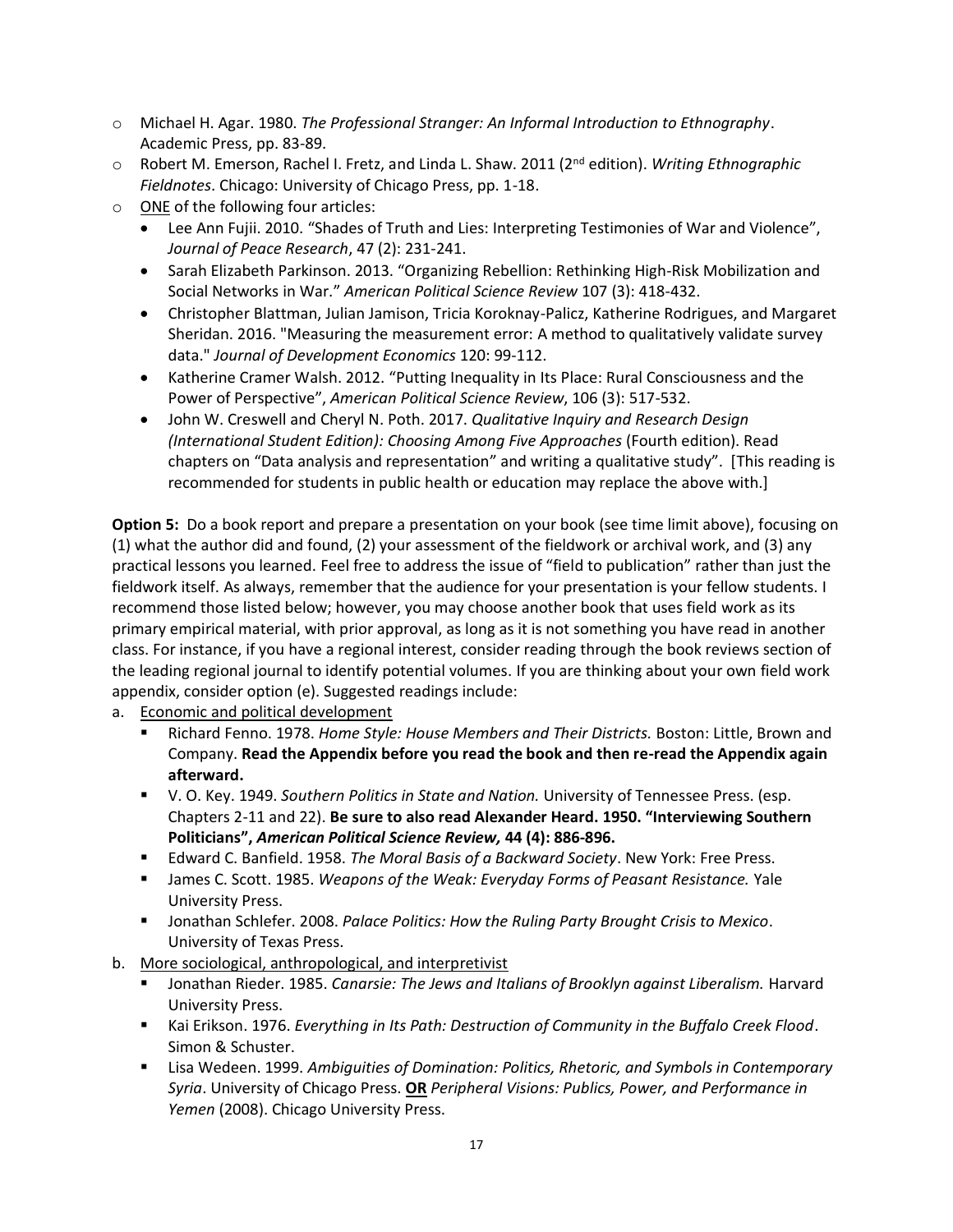- o Michael H. Agar. 1980. *The Professional Stranger: An Informal Introduction to Ethnography*. Academic Press, pp. 83-89.
- o Robert M. Emerson, Rachel I. Fretz, and Linda L. Shaw. 2011 (2nd edition). *Writing Ethnographic Fieldnotes*. Chicago: University of Chicago Press, pp. 1-18.
- o ONE of the following four articles:
	- Lee Ann Fujii. 2010. "Shades of Truth and Lies: Interpreting Testimonies of War and Violence", *Journal of Peace Research*, 47 (2): 231-241.
	- Sarah Elizabeth Parkinson. 2013. "Organizing Rebellion: Rethinking High-Risk Mobilization and Social Networks in War." *American Political Science Review* 107 (3): 418-432.
	- Christopher Blattman, Julian Jamison, Tricia Koroknay-Palicz, Katherine Rodrigues, and Margaret Sheridan. 2016. "Measuring the measurement error: A method to qualitatively validate survey data." *Journal of Development Economics* 120: 99-112.
	- Katherine Cramer Walsh. 2012. "Putting Inequality in Its Place: Rural Consciousness and the Power of Perspective", *American Political Science Review*, 106 (3): 517-532.
	- John W. Creswell and Cheryl N. Poth. 2017. *Qualitative Inquiry and Research Design (International Student Edition): Choosing Among Five Approaches (Fourth edition). Read* chapters on "Data analysis and representation" and writing a qualitative study". [This reading is recommended for students in public health or education may replace the above with.]

**Option 5:** Do a book report and prepare a presentation on your book (see time limit above), focusing on (1) what the author did and found, (2) your assessment of the fieldwork or archival work, and (3) any practical lessons you learned. Feel free to address the issue of "field to publication" rather than just the fieldwork itself. As always, remember that the audience for your presentation is your fellow students. I recommend those listed below; however, you may choose another book that uses field work as its primary empirical material, with prior approval, as long as it is not something you have read in another class. For instance, if you have a regional interest, consider reading through the book reviews section of the leading regional journal to identify potential volumes. If you are thinking about your own field work appendix, consider option (e). Suggested readings include:

a. Economic and political development

- Richard Fenno. 1978. *Home Style: House Members and Their Districts.* Boston: Little, Brown and Company. **Read the Appendix before you read the book and then re-read the Appendix again afterward.**
- V. O. Key. 1949. *Southern Politics in State and Nation.* University of Tennessee Press. (esp. Chapters 2-11 and 22). **Be sure to also read Alexander Heard. 1950. "Interviewing Southern Politicians",** *American Political Science Review,* **44 (4): 886-896.**
- Edward C. Banfield. 1958. *The Moral Basis of a Backward Society*. New York: Free Press.
- James C. Scott. 1985. *Weapons of the Weak: Everyday Forms of Peasant Resistance.* Yale University Press.
- Jonathan Schlefer. 2008. *Palace Politics: How the Ruling Party Brought Crisis to Mexico*. University of Texas Press.
- b. More sociological, anthropological, and interpretivist
	- Jonathan Rieder. 1985. *Canarsie: The Jews and Italians of Brooklyn against Liberalism.* Harvard University Press.
	- Kai Erikson. 1976. *Everything in Its Path: Destruction of Community in the Buffalo Creek Flood*. Simon & Schuster.
	- Lisa Wedeen. 1999. Ambiguities of Domination: Politics, Rhetoric, and Symbols in Contemporary *Syria*. University of Chicago Press. **OR** *Peripheral Visions: Publics, Power, and Performance in Yemen* (2008). Chicago University Press.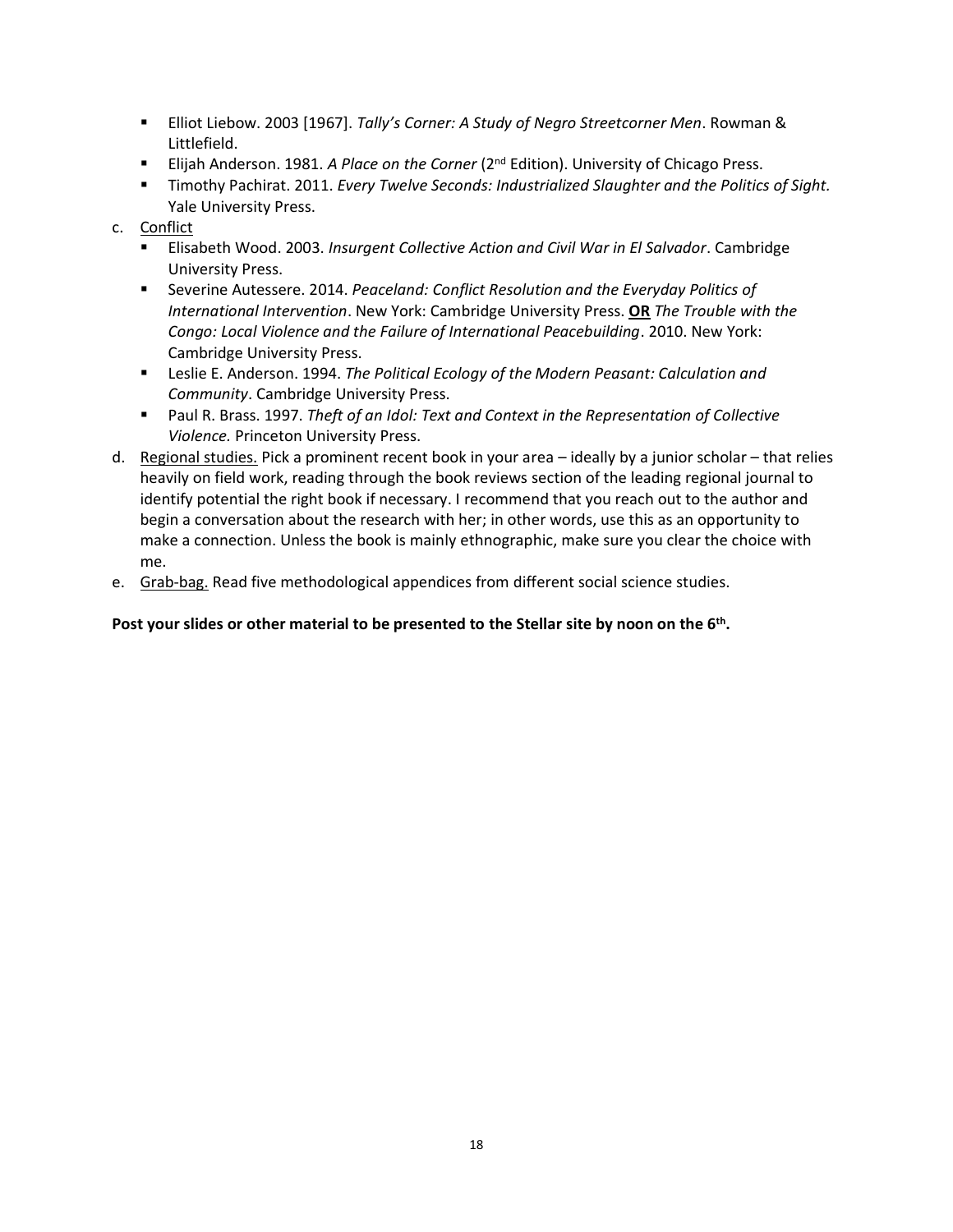- Elliot Liebow. 2003 [1967]. *Tally's Corner: A Study of Negro Streetcorner Men*. Rowman & Littlefield.
- Elijah Anderson. 1981. *A Place on the Corner* (2<sup>nd</sup> Edition). University of Chicago Press.
- Timothy Pachirat. 2011. *Every Twelve Seconds: Industrialized Slaughter and the Politics of Sight.* Yale University Press.

## c. Conflict

- Elisabeth Wood. 2003. *Insurgent Collective Action and Civil War in El Salvador*. Cambridge University Press.
- Severine Autessere. 2014. *Peaceland: Conflict Resolution and the Everyday Politics of International Intervention*. New York: Cambridge University Press. **OR** *The Trouble with the Congo: Local Violence and the Failure of International Peacebuilding*. 2010. New York: Cambridge University Press.
- Leslie E. Anderson. 1994. *The Political Ecology of the Modern Peasant: Calculation and Community*. Cambridge University Press.
- Paul R. Brass. 1997. *Theft of an Idol: Text and Context in the Representation of Collective Violence.* Princeton University Press.
- d. Regional studies. Pick a prominent recent book in your area ideally by a junior scholar that relies heavily on field work, reading through the book reviews section of the leading regional journal to identify potential the right book if necessary. I recommend that you reach out to the author and begin a conversation about the research with her; in other words, use this as an opportunity to make a connection. Unless the book is mainly ethnographic, make sure you clear the choice with me.
- e. Grab-bag. Read five methodological appendices from different social science studies.

### **Post your slides or other material to be presented to the Stellar site by noon on the 6th .**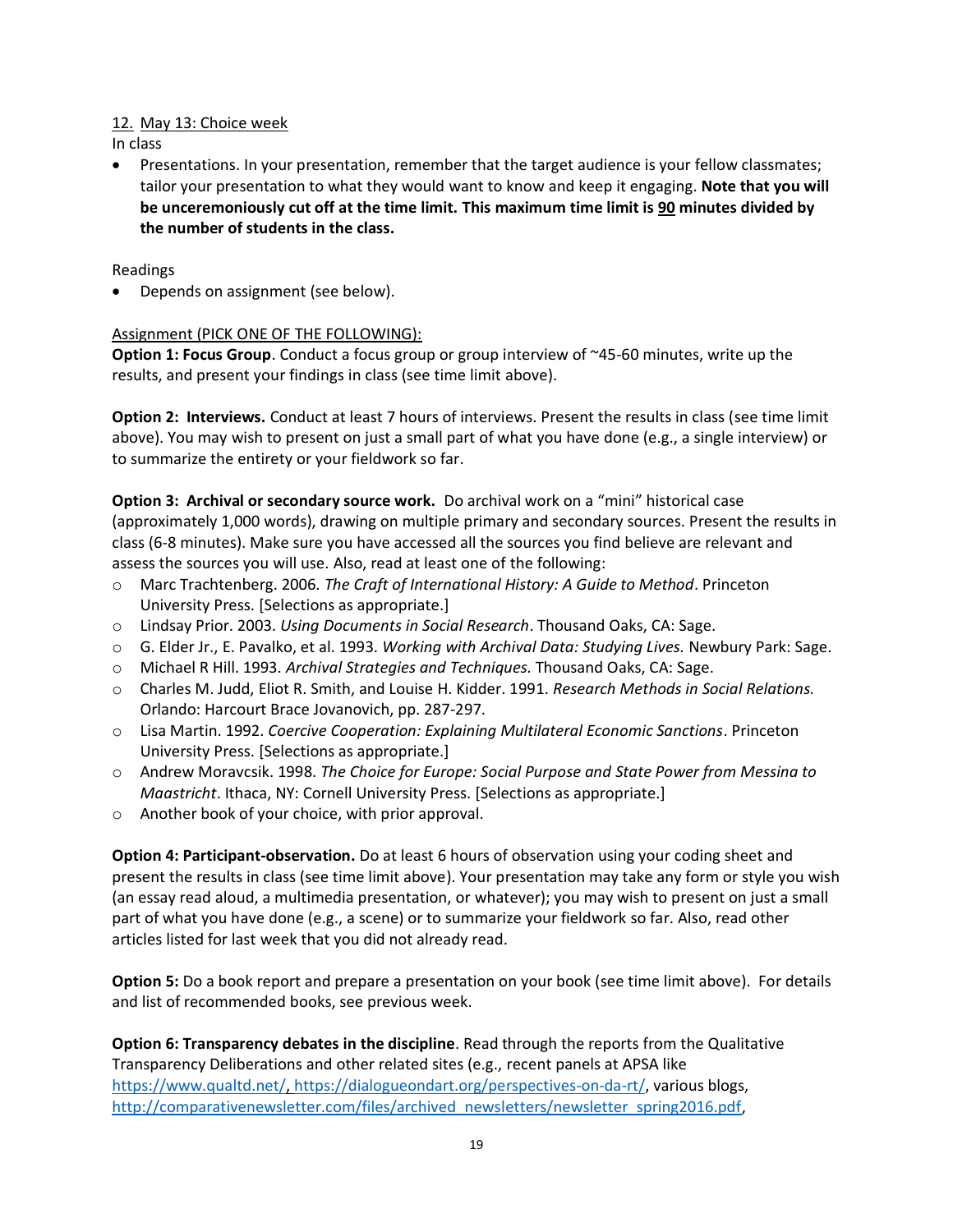### 12. May 13: Choice week

In class

• Presentations. In your presentation, remember that the target audience is your fellow classmates; tailor your presentation to what they would want to know and keep it engaging. **Note that you will be unceremoniously cut off at the time limit. This maximum time limit is 90 minutes divided by the number of students in the class.**

## Readings

• Depends on assignment (see below).

### Assignment (PICK ONE OF THE FOLLOWING):

**Option 1: Focus Group**. Conduct a focus group or group interview of ~45-60 minutes, write up the results, and present your findings in class (see time limit above).

**Option 2: Interviews.** Conduct at least 7 hours of interviews. Present the results in class (see time limit above). You may wish to present on just a small part of what you have done (e.g., a single interview) or to summarize the entirety or your fieldwork so far.

**Option 3: Archival or secondary source work.** Do archival work on a "mini" historical case (approximately 1,000 words), drawing on multiple primary and secondary sources. Present the results in class (6-8 minutes). Make sure you have accessed all the sources you find believe are relevant and assess the sources you will use. Also, read at least one of the following:

- o Marc Trachtenberg. 2006. *The Craft of International History: A Guide to Method*. Princeton University Press. [Selections as appropriate.]
- o Lindsay Prior. 2003. *Using Documents in Social Research*. Thousand Oaks, CA: Sage.
- o G. Elder Jr., E. Pavalko, et al. 1993. *Working with Archival Data: Studying Lives.* Newbury Park: Sage.
- o Michael R Hill. 1993. *Archival Strategies and Techniques.* Thousand Oaks, CA: Sage.
- o Charles M. Judd, Eliot R. Smith, and Louise H. Kidder. 1991. *Research Methods in Social Relations.* Orlando: Harcourt Brace Jovanovich, pp. 287-297.
- o Lisa Martin. 1992. *Coercive Cooperation: Explaining Multilateral Economic Sanctions*. Princeton University Press. [Selections as appropriate.]
- o Andrew Moravcsik. 1998. *The Choice for Europe: Social Purpose and State Power from Messina to Maastricht*. Ithaca, NY: Cornell University Press. [Selections as appropriate.]
- o Another book of your choice, with prior approval.

**Option 4: Participant-observation.** Do at least 6 hours of observation using your coding sheet and present the results in class (see time limit above). Your presentation may take any form or style you wish (an essay read aloud, a multimedia presentation, or whatever); you may wish to present on just a small part of what you have done (e.g., a scene) or to summarize your fieldwork so far. Also, read other articles listed for last week that you did not already read.

**Option 5:** Do a book report and prepare a presentation on your book (see time limit above). For details and list of recommended books, see previous week.

**Option 6: Transparency debates in the discipline**. Read through the reports from the Qualitative Transparency Deliberations and other related sites (e.g., recent panels at APSA like [https://www.qualtd.net/,](https://www.qualtd.net/) [https://dialogueondart.org/perspectives-on-da-rt/,](https://dialogueondart.org/perspectives-on-da-rt/) various blogs, [http://comparativenewsletter.com/files/archived\\_newsletters/newsletter\\_spring2016.pdf,](http://comparativenewsletter.com/files/archived_newsletters/newsletter_spring2016.pdf)